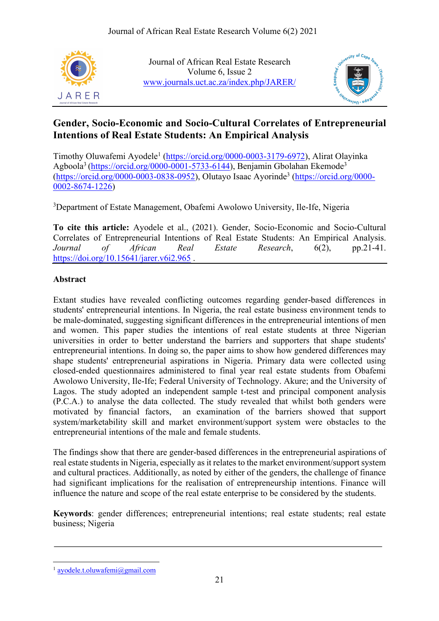

Journal of African Real Estate Research Volume 6, Issue 2 www.journals.uct.ac.za/index.php/JARER/



# **Gender, Socio-Economic and Socio-Cultural Correlates of Entrepreneurial Intentions of Real Estate Students: An Empirical Analysis**

Timothy Oluwafemi Ayodele<sup>1</sup> (https://orcid.org/0000-0003-3179-6972), Alirat Olayinka Agboola<sup>3</sup> (https://orcid.org/0000-0001-5733-6144), Benjamin Gbolahan Ekemode<sup>3</sup> (https://orcid.org/0000-0003-0838-0952), Olutayo Isaac Ayorinde3 (https://orcid.org/0000- 0002-8674-1226)

<sup>3</sup>Department of Estate Management, Obafemi Awolowo University, Ile-Ife, Nigeria

**To cite this article:** Ayodele et al., (2021). Gender, Socio-Economic and Socio-Cultural Correlates of Entrepreneurial Intentions of Real Estate Students: An Empirical Analysis. *Journal of African Real Estate Research*, 6(2), pp.21-41. https://doi.org/10.15641/jarer.v6i2.965.

## **Abstract**

Extant studies have revealed conflicting outcomes regarding gender-based differences in students' entrepreneurial intentions. In Nigeria, the real estate business environment tends to be male-dominated, suggesting significant differences in the entrepreneurial intentions of men and women. This paper studies the intentions of real estate students at three Nigerian universities in order to better understand the barriers and supporters that shape students' entrepreneurial intentions. In doing so, the paper aims to show how gendered differences may shape students' entrepreneurial aspirations in Nigeria. Primary data were collected using closed-ended questionnaires administered to final year real estate students from Obafemi Awolowo University, Ile-Ife; Federal University of Technology. Akure; and the University of Lagos. The study adopted an independent sample t-test and principal component analysis (P.C.A.) to analyse the data collected. The study revealed that whilst both genders were motivated by financial factors, an examination of the barriers showed that support system/marketability skill and market environment/support system were obstacles to the entrepreneurial intentions of the male and female students.

The findings show that there are gender-based differences in the entrepreneurial aspirations of real estate students in Nigeria, especially as it relates to the market environment/support system and cultural practices. Additionally, as noted by either of the genders, the challenge of finance had significant implications for the realisation of entrepreneurship intentions. Finance will influence the nature and scope of the real estate enterprise to be considered by the students.

**Keywords**: gender differences; entrepreneurial intentions; real estate students; real estate business; Nigeria

<sup>1</sup> ayodele.t.oluwafemi@gmail.com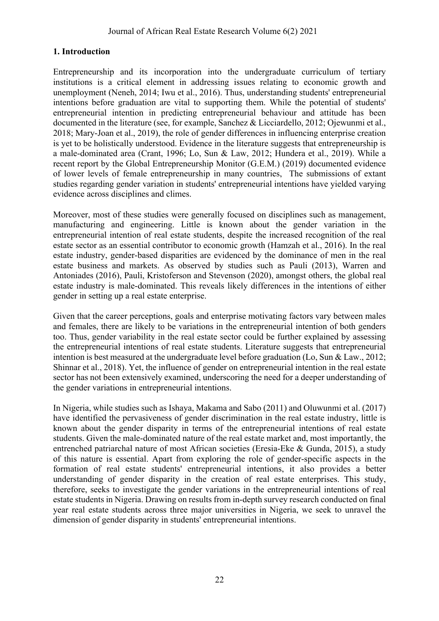## **1. Introduction**

Entrepreneurship and its incorporation into the undergraduate curriculum of tertiary institutions is a critical element in addressing issues relating to economic growth and unemployment (Neneh, 2014; Iwu et al., 2016). Thus, understanding students' entrepreneurial intentions before graduation are vital to supporting them. While the potential of students' entrepreneurial intention in predicting entrepreneurial behaviour and attitude has been documented in the literature (see, for example, Sanchez & Licciardello, 2012; Ojewunmi et al., 2018; Mary-Joan et al., 2019), the role of gender differences in influencing enterprise creation is yet to be holistically understood. Evidence in the literature suggests that entrepreneurship is a male-dominated area (Crant, 1996; Lo, Sun & Law, 2012; Hundera et al., 2019). While a recent report by the Global Entrepreneurship Monitor (G.E.M.) (2019) documented evidence of lower levels of female entrepreneurship in many countries, The submissions of extant studies regarding gender variation in students' entrepreneurial intentions have yielded varying evidence across disciplines and climes.

Moreover, most of these studies were generally focused on disciplines such as management, manufacturing and engineering. Little is known about the gender variation in the entrepreneurial intention of real estate students, despite the increased recognition of the real estate sector as an essential contributor to economic growth (Hamzah et al., 2016). In the real estate industry, gender-based disparities are evidenced by the dominance of men in the real estate business and markets. As observed by studies such as Pauli (2013), Warren and Antoniades (2016), Pauli, Kristoferson and Stevenson (2020), amongst others, the global real estate industry is male-dominated. This reveals likely differences in the intentions of either gender in setting up a real estate enterprise.

Given that the career perceptions, goals and enterprise motivating factors vary between males and females, there are likely to be variations in the entrepreneurial intention of both genders too. Thus, gender variability in the real estate sector could be further explained by assessing the entrepreneurial intentions of real estate students. Literature suggests that entrepreneurial intention is best measured at the undergraduate level before graduation (Lo, Sun & Law., 2012; Shinnar et al., 2018). Yet, the influence of gender on entrepreneurial intention in the real estate sector has not been extensively examined, underscoring the need for a deeper understanding of the gender variations in entrepreneurial intentions.

In Nigeria, while studies such as Ishaya, Makama and Sabo (2011) and Oluwunmi et al. (2017) have identified the pervasiveness of gender discrimination in the real estate industry, little is known about the gender disparity in terms of the entrepreneurial intentions of real estate students. Given the male-dominated nature of the real estate market and, most importantly, the entrenched patriarchal nature of most African societies (Eresia-Eke & Gunda, 2015), a study of this nature is essential. Apart from exploring the role of gender-specific aspects in the formation of real estate students' entrepreneurial intentions, it also provides a better understanding of gender disparity in the creation of real estate enterprises. This study, therefore, seeks to investigate the gender variations in the entrepreneurial intentions of real estate students in Nigeria. Drawing on results from in-depth survey research conducted on final year real estate students across three major universities in Nigeria, we seek to unravel the dimension of gender disparity in students' entrepreneurial intentions.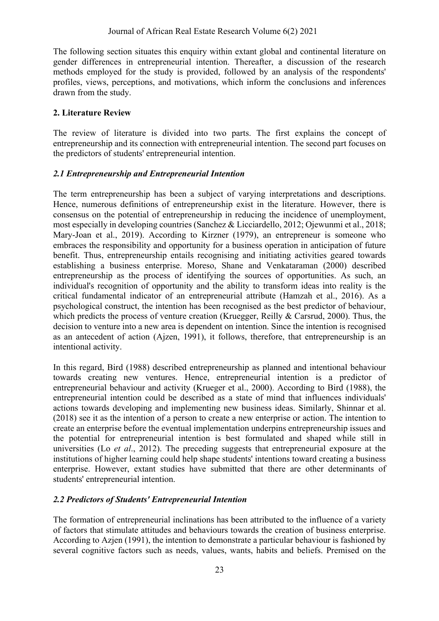The following section situates this enquiry within extant global and continental literature on gender differences in entrepreneurial intention. Thereafter, a discussion of the research methods employed for the study is provided, followed by an analysis of the respondents' profiles, views, perceptions, and motivations, which inform the conclusions and inferences drawn from the study.

#### **2. Literature Review**

The review of literature is divided into two parts. The first explains the concept of entrepreneurship and its connection with entrepreneurial intention. The second part focuses on the predictors of students' entrepreneurial intention.

#### *2.1 Entrepreneurship and Entrepreneurial Intention*

The term entrepreneurship has been a subject of varying interpretations and descriptions. Hence, numerous definitions of entrepreneurship exist in the literature. However, there is consensus on the potential of entrepreneurship in reducing the incidence of unemployment, most especially in developing countries (Sanchez & Licciardello, 2012; Ojewunmi et al., 2018; Mary-Joan et al., 2019). According to Kirzner (1979), an entrepreneur is someone who embraces the responsibility and opportunity for a business operation in anticipation of future benefit. Thus, entrepreneurship entails recognising and initiating activities geared towards establishing a business enterprise. Moreso, Shane and Venkataraman (2000) described entrepreneurship as the process of identifying the sources of opportunities. As such, an individual's recognition of opportunity and the ability to transform ideas into reality is the critical fundamental indicator of an entrepreneurial attribute (Hamzah et al., 2016). As a psychological construct, the intention has been recognised as the best predictor of behaviour, which predicts the process of venture creation (Kruegger, Reilly & Carsrud, 2000). Thus, the decision to venture into a new area is dependent on intention. Since the intention is recognised as an antecedent of action (Ajzen, 1991), it follows, therefore, that entrepreneurship is an intentional activity.

In this regard, Bird (1988) described entrepreneurship as planned and intentional behaviour towards creating new ventures. Hence, entrepreneurial intention is a predictor of entrepreneurial behaviour and activity (Krueger et al., 2000). According to Bird (1988), the entrepreneurial intention could be described as a state of mind that influences individuals' actions towards developing and implementing new business ideas. Similarly, Shinnar et al. (2018) see it as the intention of a person to create a new enterprise or action. The intention to create an enterprise before the eventual implementation underpins entrepreneurship issues and the potential for entrepreneurial intention is best formulated and shaped while still in universities (Lo *et al*., 2012). The preceding suggests that entrepreneurial exposure at the institutions of higher learning could help shape students' intentions toward creating a business enterprise. However, extant studies have submitted that there are other determinants of students' entrepreneurial intention.

## *2.2 Predictors of Students' Entrepreneurial Intention*

The formation of entrepreneurial inclinations has been attributed to the influence of a variety of factors that stimulate attitudes and behaviours towards the creation of business enterprise. According to Azjen (1991), the intention to demonstrate a particular behaviour is fashioned by several cognitive factors such as needs, values, wants, habits and beliefs. Premised on the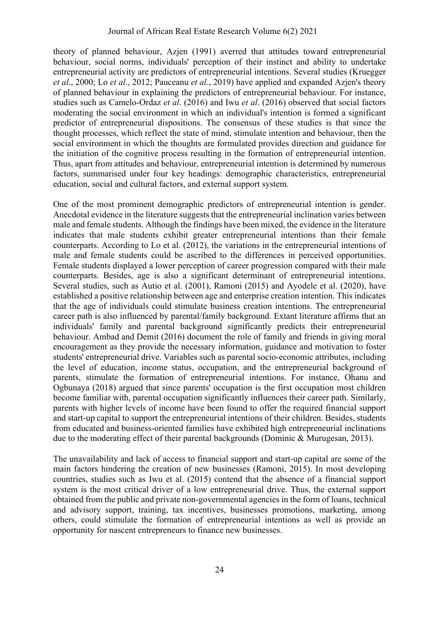theory of planned behaviour, Azjen (1991) averred that attitudes toward entrepreneurial behaviour, social norms, individuals' perception of their instinct and ability to undertake entrepreneurial activity are predictors of entrepreneurial intentions. Several studies (Kruegger *et al*., 2000; Lo *et al*., 2012; Pauceanu *et al*., 2019) have applied and expanded Azjen's theory of planned behaviour in explaining the predictors of entrepreneurial behaviour. For instance, studies such as Camelo-Ordaz *et al*. (2016) and Iwu *et al*. (2016) observed that social factors moderating the social environment in which an individual's intention is formed a significant predictor of entrepreneurial dispositions. The consensus of these studies is that since the thought processes, which reflect the state of mind, stimulate intention and behaviour, then the social environment in which the thoughts are formulated provides direction and guidance for the initiation of the cognitive process resulting in the formation of entrepreneurial intention. Thus, apart from attitudes and behaviour, entrepreneurial intention is determined by numerous factors, summarised under four key headings: demographic characteristics, entrepreneurial education, social and cultural factors, and external support system.

One of the most prominent demographic predictors of entrepreneurial intention is gender. Anecdotal evidence in the literature suggests that the entrepreneurial inclination varies between male and female students. Although the findings have been mixed, the evidence in the literature indicates that male students exhibit greater entrepreneurial intentions than their female counterparts. According to Lo et al. (2012), the variations in the entrepreneurial intentions of male and female students could be ascribed to the differences in perceived opportunities. Female students displayed a lower perception of career progression compared with their male counterparts. Besides, age is also a significant determinant of entrepreneurial intentions. Several studies, such as Autio et al. (2001), Ramoni (2015) and Ayodele et al. (2020), have established a positive relationship between age and enterprise creation intention. This indicates that the age of individuals could stimulate business creation intentions. The entrepreneurial career path is also influenced by parental/family background. Extant literature affirms that an individuals' family and parental background significantly predicts their entrepreneurial behaviour. Ambad and Demit (2016) document the role of family and friends in giving moral encouragement as they provide the necessary information, guidance and motivation to foster students' entrepreneurial drive. Variables such as parental socio-economic attributes, including the level of education, income status, occupation, and the entrepreneurial background of parents, stimulate the formation of entrepreneurial intentions. For instance, Ohanu and Ogbunaya (2018) argued that since parents' occupation is the first occupation most children become familiar with, parental occupation significantly influences their career path. Similarly, parents with higher levels of income have been found to offer the required financial support and start-up capital to support the entrepreneurial intentions of their children. Besides, students from educated and business-oriented families have exhibited high entrepreneurial inclinations due to the moderating effect of their parental backgrounds (Dominic & Murugesan, 2013).

The unavailability and lack of access to financial support and start-up capital are some of the main factors hindering the creation of new businesses (Ramoni, 2015). In most developing countries, studies such as Iwu et al. (2015) contend that the absence of a financial support system is the most critical driver of a low entrepreneurial drive. Thus, the external support obtained from the public and private non-governmental agencies in the form of loans, technical and advisory support, training, tax incentives, businesses promotions, marketing, among others, could stimulate the formation of entrepreneurial intentions as well as provide an opportunity for nascent entrepreneurs to finance new businesses.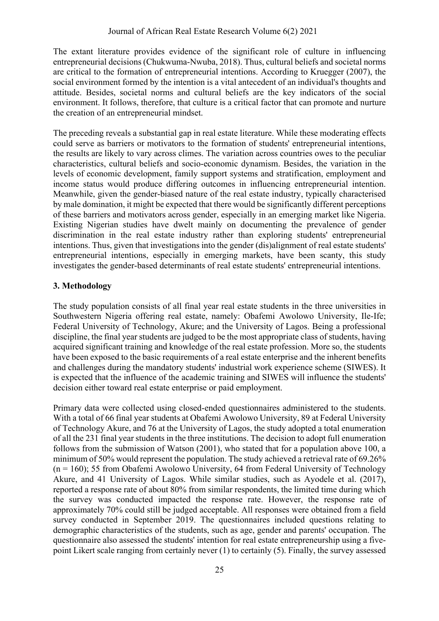The extant literature provides evidence of the significant role of culture in influencing entrepreneurial decisions (Chukwuma-Nwuba, 2018). Thus, cultural beliefs and societal norms are critical to the formation of entrepreneurial intentions. According to Kruegger (2007), the social environment formed by the intention is a vital antecedent of an individual's thoughts and attitude. Besides, societal norms and cultural beliefs are the key indicators of the social environment. It follows, therefore, that culture is a critical factor that can promote and nurture the creation of an entrepreneurial mindset.

The preceding reveals a substantial gap in real estate literature. While these moderating effects could serve as barriers or motivators to the formation of students' entrepreneurial intentions, the results are likely to vary across climes. The variation across countries owes to the peculiar characteristics, cultural beliefs and socio-economic dynamism. Besides, the variation in the levels of economic development, family support systems and stratification, employment and income status would produce differing outcomes in influencing entrepreneurial intention. Meanwhile, given the gender-biased nature of the real estate industry, typically characterised by male domination, it might be expected that there would be significantly different perceptions of these barriers and motivators across gender, especially in an emerging market like Nigeria. Existing Nigerian studies have dwelt mainly on documenting the prevalence of gender discrimination in the real estate industry rather than exploring students' entrepreneurial intentions. Thus, given that investigations into the gender (dis)alignment of real estate students' entrepreneurial intentions, especially in emerging markets, have been scanty, this study investigates the gender-based determinants of real estate students' entrepreneurial intentions.

## **3. Methodology**

The study population consists of all final year real estate students in the three universities in Southwestern Nigeria offering real estate, namely: Obafemi Awolowo University, Ile-Ife; Federal University of Technology, Akure; and the University of Lagos. Being a professional discipline, the final year students are judged to be the most appropriate class of students, having acquired significant training and knowledge of the real estate profession. More so, the students have been exposed to the basic requirements of a real estate enterprise and the inherent benefits and challenges during the mandatory students' industrial work experience scheme (SIWES). It is expected that the influence of the academic training and SIWES will influence the students' decision either toward real estate enterprise or paid employment.

Primary data were collected using closed-ended questionnaires administered to the students. With a total of 66 final year students at Obafemi Awolowo University, 89 at Federal University of Technology Akure, and 76 at the University of Lagos, the study adopted a total enumeration of all the 231 final year students in the three institutions. The decision to adopt full enumeration follows from the submission of Watson (2001), who stated that for a population above 100, a minimum of 50% would represent the population. The study achieved a retrieval rate of 69.26%  $(n = 160)$ ; 55 from Obafemi Awolowo University, 64 from Federal University of Technology Akure, and 41 University of Lagos. While similar studies, such as Ayodele et al. (2017), reported a response rate of about 80% from similar respondents, the limited time during which the survey was conducted impacted the response rate. However, the response rate of approximately 70% could still be judged acceptable. All responses were obtained from a field survey conducted in September 2019. The questionnaires included questions relating to demographic characteristics of the students, such as age, gender and parents' occupation. The questionnaire also assessed the students' intention for real estate entrepreneurship using a fivepoint Likert scale ranging from certainly never (1) to certainly (5). Finally, the survey assessed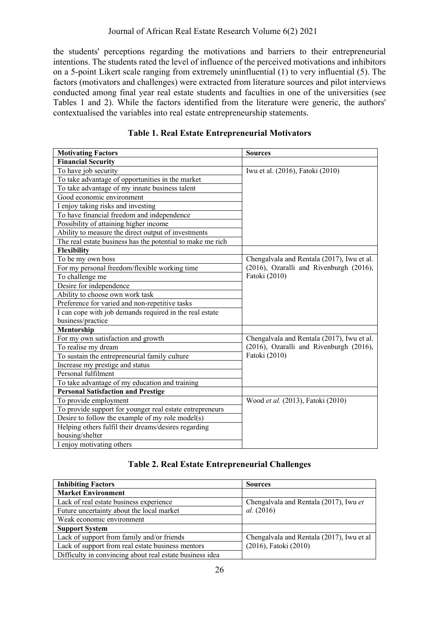the students' perceptions regarding the motivations and barriers to their entrepreneurial intentions. The students rated the level of influence of the perceived motivations and inhibitors on a 5-point Likert scale ranging from extremely uninfluential (1) to very influential (5). The factors (motivators and challenges) were extracted from literature sources and pilot interviews conducted among final year real estate students and faculties in one of the universities (see Tables 1 and 2). While the factors identified from the literature were generic, the authors' contextualised the variables into real estate entrepreneurship statements.

| <b>Motivating Factors</b>                                  | <b>Sources</b>                             |  |  |  |  |
|------------------------------------------------------------|--------------------------------------------|--|--|--|--|
| <b>Financial Security</b>                                  |                                            |  |  |  |  |
| To have job security                                       | Iwu et al. (2016), Fatoki (2010)           |  |  |  |  |
| To take advantage of opportunities in the market           |                                            |  |  |  |  |
| To take advantage of my innate business talent             |                                            |  |  |  |  |
| Good economic environment                                  |                                            |  |  |  |  |
| I enjoy taking risks and investing                         |                                            |  |  |  |  |
| To have financial freedom and independence                 |                                            |  |  |  |  |
| Possibility of attaining higher income                     |                                            |  |  |  |  |
| Ability to measure the direct output of investments        |                                            |  |  |  |  |
| The real estate business has the potential to make me rich |                                            |  |  |  |  |
| Flexibility                                                |                                            |  |  |  |  |
| To be my own boss                                          | Chengalvala and Rentala (2017), Iwu et al. |  |  |  |  |
| For my personal freedom/flexible working time              | (2016), Ozaralli and Rivenburgh (2016),    |  |  |  |  |
| To challenge me                                            | Fatoki (2010)                              |  |  |  |  |
| Desire for independence                                    |                                            |  |  |  |  |
| Ability to choose own work task                            |                                            |  |  |  |  |
| Preference for varied and non-repetitive tasks             |                                            |  |  |  |  |
| I can cope with job demands required in the real estate    |                                            |  |  |  |  |
| business/practice                                          |                                            |  |  |  |  |
| Mentorship                                                 |                                            |  |  |  |  |
| For my own satisfaction and growth                         | Chengalvala and Rentala (2017), Iwu et al. |  |  |  |  |
| To realise my dream                                        | (2016), Ozaralli and Rivenburgh (2016),    |  |  |  |  |
| To sustain the entrepreneurial family culture              | Fatoki (2010)                              |  |  |  |  |
| Increase my prestige and status                            |                                            |  |  |  |  |
| Personal fulfilment                                        |                                            |  |  |  |  |
| To take advantage of my education and training             |                                            |  |  |  |  |
| <b>Personal Satisfaction and Prestige</b>                  |                                            |  |  |  |  |
| To provide employment                                      | Wood et al. (2013), Fatoki (2010)          |  |  |  |  |
| To provide support for younger real estate entrepreneurs   |                                            |  |  |  |  |
| Desire to follow the example of my role model(s)           |                                            |  |  |  |  |
| Helping others fulfil their dreams/desires regarding       |                                            |  |  |  |  |
| housing/shelter                                            |                                            |  |  |  |  |
| I enjoy motivating others                                  |                                            |  |  |  |  |

**Table 1. Real Estate Entrepreneurial Motivators**

## **Table 2. Real Estate Entrepreneurial Challenges**

| <b>Inhibiting Factors</b>                                | <b>Sources</b>                            |  |  |  |  |
|----------------------------------------------------------|-------------------------------------------|--|--|--|--|
| <b>Market Environment</b>                                |                                           |  |  |  |  |
| Lack of real estate business experience                  | Chengalvala and Rentala (2017), Iwu et    |  |  |  |  |
| Future uncertainty about the local market                | <i>al.</i> (2016)                         |  |  |  |  |
| Weak economic environment                                |                                           |  |  |  |  |
| <b>Support System</b>                                    |                                           |  |  |  |  |
| Lack of support from family and/or friends               | Chengalvala and Rentala (2017), Iwu et al |  |  |  |  |
| Lack of support from real estate business mentors        | (2016), Fatoki (2010)                     |  |  |  |  |
| Difficulty in convincing about real estate business idea |                                           |  |  |  |  |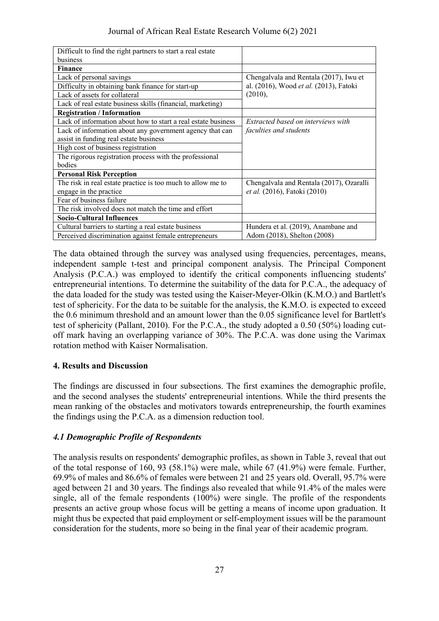#### Journal of African Real Estate Research Volume 6(2) 2021

| Difficult to find the right partners to start a real estate   |                                          |  |  |  |  |
|---------------------------------------------------------------|------------------------------------------|--|--|--|--|
| business                                                      |                                          |  |  |  |  |
| <b>Finance</b>                                                |                                          |  |  |  |  |
| Lack of personal savings                                      | Chengalvala and Rentala (2017), Iwu et   |  |  |  |  |
| Difficulty in obtaining bank finance for start-up             | al. (2016), Wood et al. (2013), Fatoki   |  |  |  |  |
| Lack of assets for collateral                                 | (2010),                                  |  |  |  |  |
| Lack of real estate business skills (financial, marketing)    |                                          |  |  |  |  |
| <b>Registration / Information</b>                             |                                          |  |  |  |  |
| Lack of information about how to start a real estate business | Extracted based on interviews with       |  |  |  |  |
| Lack of information about any government agency that can      | faculties and students                   |  |  |  |  |
| assist in funding real estate business                        |                                          |  |  |  |  |
| High cost of business registration                            |                                          |  |  |  |  |
| The rigorous registration process with the professional       |                                          |  |  |  |  |
| bodies                                                        |                                          |  |  |  |  |
| <b>Personal Risk Perception</b>                               |                                          |  |  |  |  |
| The risk in real estate practice is too much to allow me to   | Chengalvala and Rentala (2017), Ozaralli |  |  |  |  |
| engage in the practice                                        | et al. (2016), Fatoki (2010)             |  |  |  |  |
| Fear of business failure                                      |                                          |  |  |  |  |
| The risk involved does not match the time and effort          |                                          |  |  |  |  |
| <b>Socio-Cultural Influences</b>                              |                                          |  |  |  |  |
| Cultural barriers to starting a real estate business          | Hundera et al. (2019), Anambane and      |  |  |  |  |
| Perceived discrimination against female entrepreneurs         | Adom (2018), Shelton (2008)              |  |  |  |  |

The data obtained through the survey was analysed using frequencies, percentages, means, independent sample t-test and principal component analysis. The Principal Component Analysis (P.C.A.) was employed to identify the critical components influencing students' entrepreneurial intentions. To determine the suitability of the data for P.C.A., the adequacy of the data loaded for the study was tested using the Kaiser-Meyer-Olkin (K.M.O.) and Bartlett's test of sphericity. For the data to be suitable for the analysis, the K.M.O. is expected to exceed the 0.6 minimum threshold and an amount lower than the 0.05 significance level for Bartlett's test of sphericity (Pallant, 2010). For the P.C.A., the study adopted a 0.50 (50%) loading cutoff mark having an overlapping variance of 30%. The P.C.A. was done using the Varimax rotation method with Kaiser Normalisation.

## **4. Results and Discussion**

The findings are discussed in four subsections. The first examines the demographic profile, and the second analyses the students' entrepreneurial intentions. While the third presents the mean ranking of the obstacles and motivators towards entrepreneurship, the fourth examines the findings using the P.C.A. as a dimension reduction tool.

## *4.1 Demographic Profile of Respondents*

The analysis results on respondents' demographic profiles, as shown in Table 3, reveal that out of the total response of 160, 93 (58.1%) were male, while 67 (41.9%) were female. Further, 69.9% of males and 86.6% of females were between 21 and 25 years old. Overall, 95.7% were aged between 21 and 30 years. The findings also revealed that while 91.4% of the males were single, all of the female respondents (100%) were single. The profile of the respondents presents an active group whose focus will be getting a means of income upon graduation. It might thus be expected that paid employment or self-employment issues will be the paramount consideration for the students, more so being in the final year of their academic program.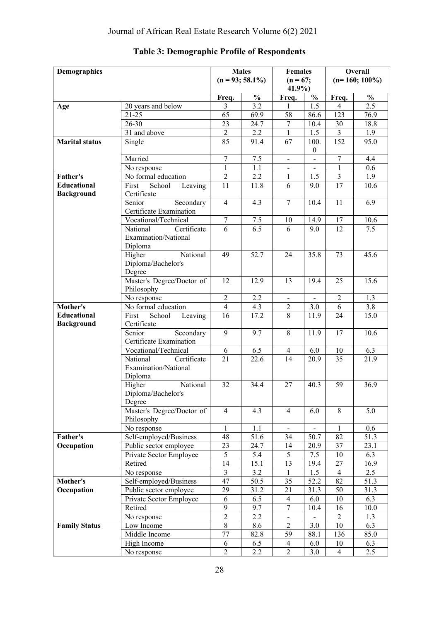| Demographics          |                                                | <b>Males</b>     | <b>Females</b>     |                          | Overall                  |                  |                  |  |
|-----------------------|------------------------------------------------|------------------|--------------------|--------------------------|--------------------------|------------------|------------------|--|
|                       |                                                |                  | $(n = 93; 58.1\%)$ | $(n = 67;$<br>41.9%      |                          |                  | $(n=160; 100\%)$ |  |
|                       |                                                | Freq.            | $\frac{1}{2}$      | Freq.                    | $\frac{1}{2}$            | Freq.            | $\frac{0}{0}$    |  |
| Age                   | 20 years and below                             | 3                | 3.2                | $\mathbf{1}$             | 1.5                      | $\overline{4}$   | 2.5              |  |
|                       | $21 - 25$                                      | 65               | 69.9               | 58                       | 86.6                     | 123              | 76.9             |  |
|                       | $26 - 30$                                      | 23               | 24.7               | $\boldsymbol{7}$         | 10.4                     | 30               | 18.8             |  |
|                       | 31 and above                                   | $\overline{c}$   | 2.2                | $\mathbf{1}$             | 1.5                      | $\mathfrak{Z}$   | 1.9              |  |
| <b>Marital status</b> | Single                                         | 85               | 91.4               | 67                       | 100.                     | 152              | 95.0             |  |
|                       |                                                |                  |                    |                          | $\mathbf{0}$             |                  |                  |  |
|                       | Married                                        | $\boldsymbol{7}$ | 7.5                | $\overline{\phantom{a}}$ |                          | $\boldsymbol{7}$ | 4.4              |  |
|                       | No response                                    | $\mathbf{1}$     | 1.1                |                          |                          | $\mathbf{1}$     | 0.6              |  |
| <b>Father's</b>       | No formal education                            | $\overline{c}$   | 2.2                | $\mathbf{1}$             | 1.5                      | 3                | 1.9              |  |
| <b>Educational</b>    | School<br>First<br>Leaving                     | 11               | 11.8               | 6                        | 9.0                      | 17               | 10.6             |  |
| <b>Background</b>     | Certificate                                    |                  |                    |                          |                          |                  |                  |  |
|                       | Senior<br>Secondary<br>Certificate Examination | $\overline{4}$   | 4.3                | $\tau$                   | 10.4                     | 11               | 6.9              |  |
|                       | Vocational/Technical                           | $\boldsymbol{7}$ | 7.5                | 10                       | 14.9                     | 17               | 10.6             |  |
|                       | National<br>Certificate                        | 6                | 6.5                | 6                        | 9.0                      | 12               | 7.5              |  |
|                       | Examination/National                           |                  |                    |                          |                          |                  |                  |  |
|                       | Diploma                                        |                  |                    |                          |                          |                  |                  |  |
|                       | Higher<br>National                             | 49               | 52.7               | 24                       | 35.8                     | 73               | 45.6             |  |
|                       | Diploma/Bachelor's                             |                  |                    |                          |                          |                  |                  |  |
|                       | Degree                                         |                  |                    |                          |                          |                  |                  |  |
|                       | Master's Degree/Doctor of                      | 12               | 12.9               | 13                       | 19.4                     | 25               | 15.6             |  |
|                       | Philosophy                                     |                  |                    |                          |                          |                  |                  |  |
|                       | No response                                    | $\sqrt{2}$       | 2.2                | $\overline{\phantom{a}}$ | $\overline{\phantom{0}}$ | $\sqrt{2}$       | 1.3              |  |
| Mother's              | No formal education                            | $\overline{4}$   | 4.3                | $\boldsymbol{2}$         | 3.0                      | 6                | 3.8              |  |
| <b>Educational</b>    | First<br>School<br>Leaving                     | 16               | 17.2               | 8                        | 11.9                     | 24               | 15.0             |  |
| <b>Background</b>     | Certificate                                    |                  |                    |                          |                          |                  |                  |  |
|                       | Senior<br>Secondary                            | $\overline{9}$   | 9.7                | 8                        | 11.9                     | 17               | 10.6             |  |
|                       | Certificate Examination                        |                  |                    |                          |                          |                  |                  |  |
|                       | Vocational/Technical                           | 6                | 6.5                | $\overline{4}$           | 6.0                      | $10\,$           | 6.3              |  |
|                       | National<br>Certificate                        | 21               | 22.6               | 14                       | 20.9                     | 35               | 21.9             |  |
|                       | Examination/National                           |                  |                    |                          |                          |                  |                  |  |
|                       | Diploma                                        |                  |                    |                          |                          |                  |                  |  |
|                       | National<br>Higher                             | 32               | 34.4               | 27                       | 40.3                     | 59               | 36.9             |  |
|                       | Diploma/Bachelor's                             |                  |                    |                          |                          |                  |                  |  |
|                       | Degree<br>Master's Degree/Doctor of            | $\overline{4}$   | 4.3                | $\overline{4}$           |                          | 8                |                  |  |
|                       | Philosophy                                     |                  |                    |                          | 6.0                      |                  | 5.0              |  |
|                       |                                                | $\mathbf{1}$     | 1.1                |                          |                          | 1                | 0.6              |  |
| Father's              | No response<br>Self-employed/Business          | 48               | $\overline{5}1.6$  | 34                       | 50.7                     | 82               | 51.3             |  |
| Occupation            | Public sector employee                         | 23               | 24.7               | 14                       | 20.9                     | 37               | 23.1             |  |
|                       | Private Sector Employee                        | 5                | 5.4                | 5                        | 7.5                      | $10\,$           | 6.3              |  |
|                       | Retired                                        | 14               | 15.1               | 13                       | 19.4                     | 27               | 16.9             |  |
|                       | No response                                    | $\overline{3}$   | 3.2                | $\mathbf{1}$             | 1.5                      | $\overline{4}$   | 2.5              |  |
| Mother's              | Self-employed/Business                         | 47               | 50.5               | 35                       | 52.2                     | 82               | 51.3             |  |
| Occupation            | Public sector employee                         | 29               | 31.2               | 21                       | 31.3                     | 50               | 31.3             |  |
|                       | Private Sector Employee                        | 6                | 6.5                | $\overline{4}$           | 6.0                      | $10\,$           | 6.3              |  |
|                       | Retired                                        | $\mathbf{9}$     | 9.7                | $\boldsymbol{7}$         | 10.4                     | 16               | 10.0             |  |
|                       | No response                                    | $\overline{2}$   | 2.2                |                          |                          | $\overline{2}$   | 1.3              |  |
| <b>Family Status</b>  | Low Income                                     | $\,8\,$          | 8.6                | $\overline{c}$           | 3.0                      | $10\,$           | 6.3              |  |
|                       | Middle Income                                  | 77               | 82.8               | 59                       | 88.1                     | 136              | 85.0             |  |
|                       | High Income                                    | 6                | 6.5                | 4                        | 6.0                      | $10\,$           | 6.3              |  |
|                       | No response                                    | $\overline{2}$   | 2.2                | $\overline{2}$           | 3.0                      | $\overline{4}$   | 2.5              |  |

# **Table 3: Demographic Profile of Respondents**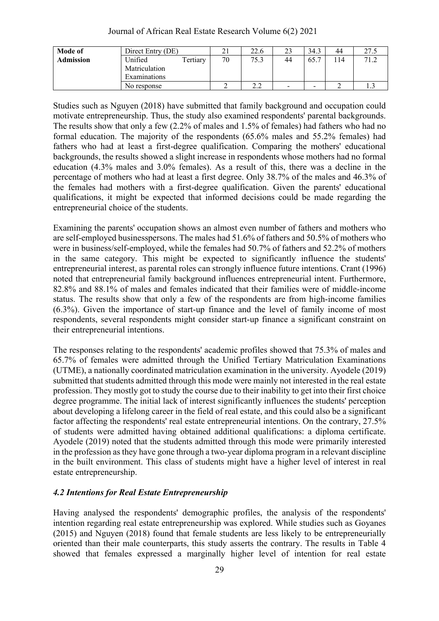#### Journal of African Real Estate Research Volume 6(2) 2021

| Mode of          | Direct Entry (DE)   | ົ<br>$\angle$ . | 22.6                     | 23                       | 34.3                     | 44  | 27.<br>ن د اسک |
|------------------|---------------------|-----------------|--------------------------|--------------------------|--------------------------|-----|----------------|
| <b>Admission</b> | Unified<br>Tertiary | 70              | 75.3                     | 44                       | 65.7                     | 114 |                |
|                  | Matriculation       |                 |                          |                          |                          |     |                |
|                  | Examinations        |                 |                          |                          |                          |     |                |
|                  | No response         |                 | $\Omega$<br>, , <u>,</u> | $\overline{\phantom{0}}$ | $\overline{\phantom{0}}$ |     |                |

Studies such as Nguyen (2018) have submitted that family background and occupation could motivate entrepreneurship. Thus, the study also examined respondents' parental backgrounds. The results show that only a few (2.2% of males and 1.5% of females) had fathers who had no formal education. The majority of the respondents (65.6% males and 55.2% females) had fathers who had at least a first-degree qualification. Comparing the mothers' educational backgrounds, the results showed a slight increase in respondents whose mothers had no formal education (4.3% males and 3.0% females). As a result of this, there was a decline in the percentage of mothers who had at least a first degree. Only 38.7% of the males and 46.3% of the females had mothers with a first-degree qualification. Given the parents' educational qualifications, it might be expected that informed decisions could be made regarding the entrepreneurial choice of the students.

Examining the parents' occupation shows an almost even number of fathers and mothers who are self-employed businesspersons. The males had 51.6% of fathers and 50.5% of mothers who were in business/self-employed, while the females had 50.7% of fathers and 52.2% of mothers in the same category. This might be expected to significantly influence the students' entrepreneurial interest, as parental roles can strongly influence future intentions. Crant (1996) noted that entrepreneurial family background influences entrepreneurial intent. Furthermore, 82.8% and 88.1% of males and females indicated that their families were of middle-income status. The results show that only a few of the respondents are from high-income families (6.3%). Given the importance of start-up finance and the level of family income of most respondents, several respondents might consider start-up finance a significant constraint on their entrepreneurial intentions.

The responses relating to the respondents' academic profiles showed that 75.3% of males and 65.7% of females were admitted through the Unified Tertiary Matriculation Examinations (UTME), a nationally coordinated matriculation examination in the university. Ayodele (2019) submitted that students admitted through this mode were mainly not interested in the real estate profession. They mostly got to study the course due to their inability to get into their first choice degree programme. The initial lack of interest significantly influences the students' perception about developing a lifelong career in the field of real estate, and this could also be a significant factor affecting the respondents' real estate entrepreneurial intentions. On the contrary, 27.5% of students were admitted having obtained additional qualifications: a diploma certificate. Ayodele (2019) noted that the students admitted through this mode were primarily interested in the profession as they have gone through a two-year diploma program in a relevant discipline in the built environment. This class of students might have a higher level of interest in real estate entrepreneurship.

#### *4.2 Intentions for Real Estate Entrepreneurship*

Having analysed the respondents' demographic profiles, the analysis of the respondents' intention regarding real estate entrepreneurship was explored. While studies such as Goyanes (2015) and Nguyen (2018) found that female students are less likely to be entrepreneurially oriented than their male counterparts, this study asserts the contrary. The results in Table 4 showed that females expressed a marginally higher level of intention for real estate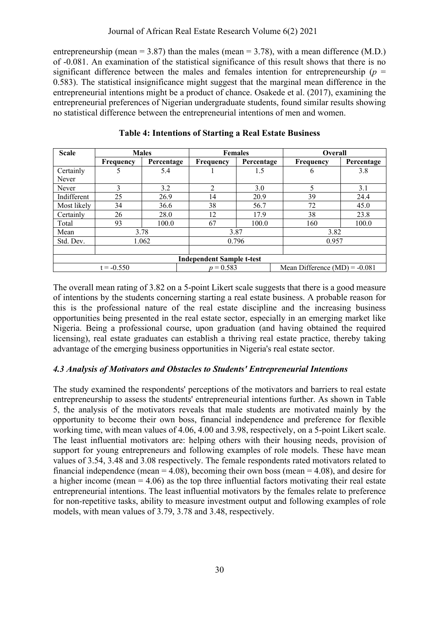entrepreneurship (mean = 3.87) than the males (mean = 3.78), with a mean difference (M.D.) of -0.081. An examination of the statistical significance of this result shows that there is no significant difference between the males and females intention for entrepreneurship ( $p =$ 0.583). The statistical insignificance might suggest that the marginal mean difference in the entrepreneurial intentions might be a product of chance. Osakede et al. (2017), examining the entrepreneurial preferences of Nigerian undergraduate students, found similar results showing no statistical difference between the entrepreneurial intentions of men and women.

| <b>Scale</b> |              | <b>Males</b> |                                  | <b>Females</b> | Overall       |                                 |  |  |
|--------------|--------------|--------------|----------------------------------|----------------|---------------|---------------------------------|--|--|
|              | Frequency    | Percentage   | Frequency                        | Percentage     | Frequency     | Percentage                      |  |  |
| Certainly    | 5            | 5.4          |                                  | 1.5            | $\mathfrak b$ | 3.8                             |  |  |
| Never        |              |              |                                  |                |               |                                 |  |  |
| Never        | 3            | 3.2          | 2                                | 3.0            | 5             | 3.1                             |  |  |
| Indifferent  | 25           | 26.9         | 14                               | 20.9           | 39            | 24.4                            |  |  |
| Most likely  | 34           | 36.6         | 38                               | 56.7           | 72            | 45.0                            |  |  |
| Certainly    | 26           | 28.0         | 12                               | 17.9           | 38            | 23.8                            |  |  |
| Total        | 93           | 100.0        | 67                               | 100.0          | 160           | 100.0                           |  |  |
| Mean         |              | 3.78         |                                  | 3.87           | 3.82          |                                 |  |  |
| Std. Dev.    |              | 1.062        |                                  | 0.796          |               | 0.957                           |  |  |
|              |              |              |                                  |                |               |                                 |  |  |
|              |              |              | <b>Independent Sample t-test</b> |                |               |                                 |  |  |
|              | $t = -0.550$ |              | $p = 0.583$                      |                |               | Mean Difference $(MD) = -0.081$ |  |  |

**Table 4: Intentions of Starting a Real Estate Business**

The overall mean rating of 3.82 on a 5-point Likert scale suggests that there is a good measure of intentions by the students concerning starting a real estate business. A probable reason for this is the professional nature of the real estate discipline and the increasing business opportunities being presented in the real estate sector, especially in an emerging market like Nigeria. Being a professional course, upon graduation (and having obtained the required licensing), real estate graduates can establish a thriving real estate practice, thereby taking advantage of the emerging business opportunities in Nigeria's real estate sector.

## *4.3 Analysis of Motivators and Obstacles to Students' Entrepreneurial Intentions*

The study examined the respondents' perceptions of the motivators and barriers to real estate entrepreneurship to assess the students' entrepreneurial intentions further. As shown in Table 5, the analysis of the motivators reveals that male students are motivated mainly by the opportunity to become their own boss, financial independence and preference for flexible working time, with mean values of 4.06, 4.00 and 3.98, respectively, on a 5-point Likert scale. The least influential motivators are: helping others with their housing needs, provision of support for young entrepreneurs and following examples of role models. These have mean values of 3.54, 3.48 and 3.08 respectively. The female respondents rated motivators related to financial independence (mean = 4.08), becoming their own boss (mean = 4.08), and desire for a higher income (mean  $= 4.06$ ) as the top three influential factors motivating their real estate entrepreneurial intentions. The least influential motivators by the females relate to preference for non-repetitive tasks, ability to measure investment output and following examples of role models, with mean values of 3.79, 3.78 and 3.48, respectively.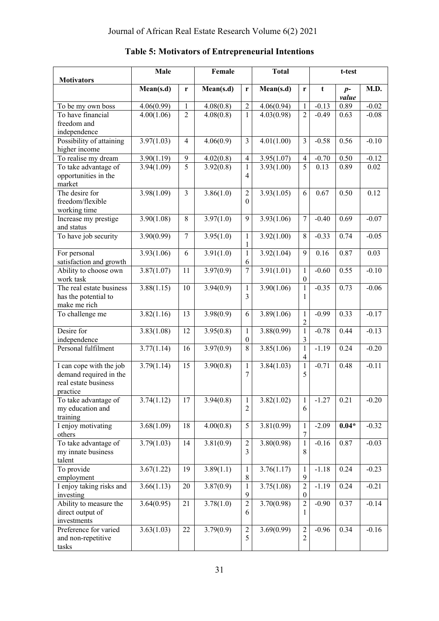| <b>Motivators</b>        | Male       |                | Female                 |                  | <b>Total</b> |                  |         | t-test        |         |
|--------------------------|------------|----------------|------------------------|------------------|--------------|------------------|---------|---------------|---------|
|                          | Mean(s.d)  | r              | Mean(s.d)              | r                | Mean(s.d)    | r                | t       | $p-$<br>value | M.D.    |
| To be my own boss        | 4.06(0.99) | $\mathbf{1}$   | 4.08(0.8)              | $\overline{2}$   | 4.06(0.94)   | $\mathbf{1}$     | $-0.13$ | 0.89          | $-0.02$ |
| To have financial        | 4.00(1.06) | $\overline{c}$ | 4.08(0.8)              | $\mathbf{1}$     | 4.03(0.98)   | $\overline{2}$   | $-0.49$ | 0.63          | $-0.08$ |
| freedom and              |            |                |                        |                  |              |                  |         |               |         |
| independence             |            |                |                        |                  |              |                  |         |               |         |
| Possibility of attaining | 3.97(1.03) | $\overline{4}$ | 4.06(0.9)              | $\overline{3}$   | 4.01(1.00)   | $\overline{3}$   | $-0.58$ | 0.56          | $-0.10$ |
| higher income            |            |                |                        |                  |              |                  |         |               |         |
| To realise my dream      | 3.90(1.19) | 9              | 4.02(0.8)              | $\overline{4}$   | 3.95(1.07)   | $\overline{4}$   | $-0.70$ | 0.50          | $-0.12$ |
| To take advantage of     | 3.94(1.09) | 5              | 3.92(0.8)              | $\mathbf{1}$     | 3.93(1.00)   | $\overline{5}$   | 0.13    | 0.89          | 0.02    |
| opportunities in the     |            |                |                        | 4                |              |                  |         |               |         |
| market                   |            |                |                        |                  |              |                  |         |               |         |
| The desire for           | 3.98(1.09) | $\overline{3}$ | 3.86(1.0)              | $\overline{c}$   | 3.93(1.05)   | 6                | 0.67    | 0.50          | 0.12    |
| freedom/flexible         |            |                |                        | $\theta$         |              |                  |         |               |         |
| working time             |            |                |                        |                  |              |                  |         |               |         |
| Increase my prestige     | 3.90(1.08) | 8              | 3.97(1.0)              | 9                | 3.93(1.06)   | $\overline{7}$   | $-0.40$ | 0.69          | $-0.07$ |
| and status               |            |                |                        |                  |              |                  |         |               |         |
| To have job security     | 3.90(0.99) | $\overline{7}$ | 3.95(1.0)              | $\mathbf{1}$     | 3.92(1.00)   | $\overline{8}$   | $-0.33$ | 0.74          | $-0.05$ |
|                          |            |                |                        | 1                |              |                  |         |               |         |
| For personal             | 3.93(1.06) | 6              | 3.91(1.0)              | $\mathbf{1}$     | 3.92(1.04)   | 9                | 0.16    | 0.87          | 0.03    |
| satisfaction and growth  |            |                |                        | 6                |              |                  |         |               |         |
| Ability to choose own    | 3.87(1.07) | 11             | 3.97(0.9)              | $\overline{7}$   | 3.91(1.01)   | $\mathbf{1}$     | $-0.60$ | 0.55          | $-0.10$ |
| work task                |            |                |                        |                  |              | $\boldsymbol{0}$ |         |               |         |
| The real estate business | 3.88(1.15) | 10             | 3.94(0.9)              | $\mathbf{1}$     | 3.90(1.06)   | $\,1$            | $-0.35$ | 0.73          | $-0.06$ |
| has the potential to     |            |                |                        | 3                |              | 1                |         |               |         |
| make me rich             |            |                |                        |                  |              |                  |         |               |         |
| To challenge me          | 3.82(1.16) | 13             | 3.98(0.9)              | 6                | 3.89(1.06)   | $\mathbf{1}$     | $-0.99$ | 0.33          | $-0.17$ |
|                          |            |                |                        |                  |              | $\sqrt{2}$       |         |               |         |
| Desire for               | 3.83(1.08) | 12             | 3.95(0.8)              | $\mathbf{1}$     | 3.88(0.99)   | $\overline{1}$   | $-0.78$ | 0.44          | $-0.13$ |
| independence             |            |                |                        | $\boldsymbol{0}$ |              | $\mathfrak{Z}$   |         |               |         |
| Personal fulfilment      | 3.77(1.14) | 16             | $\overline{3.97(0.9)}$ | $\overline{8}$   | 3.85(1.06)   | $\overline{1}$   | $-1.19$ | 0.24          | $-0.20$ |
|                          |            |                |                        |                  |              | $\overline{4}$   |         |               |         |
| I can cope with the job  | 3.79(1.14) | 15             | 3.90(0.8)              | $\mathbf{1}$     | 3.84(1.03)   | $\overline{1}$   | $-0.71$ | 0.48          | $-0.11$ |
| demand required in the   |            |                |                        | 7                |              | 5                |         |               |         |
| real estate business     |            |                |                        |                  |              |                  |         |               |         |
| practice                 |            |                |                        |                  |              |                  |         |               |         |
| To take advantage of     | 3.74(1.12) | 17             | 3.94(0.8)              | $\mathbf{1}$     | 3.82(1.02)   | $\mathbf{1}$     | $-1.27$ | 0.21          | $-0.20$ |
| my education and         |            |                |                        | 2                |              | 6                |         |               |         |
| training                 |            |                |                        |                  |              |                  |         |               |         |
| I enjoy motivating       | 3.68(1.09) | 18             | 4.00(0.8)              | 5                | 3.81(0.99)   | $\,1$            | $-2.09$ | $0.04*$       | $-0.32$ |
| others                   |            |                |                        |                  |              | $\boldsymbol{7}$ |         |               |         |
| To take advantage of     | 3.79(1.03) | 14             | 3.81(0.9)              | $\overline{c}$   | 3.80(0.98)   | $\mathbf 1$      | $-0.16$ | 0.87          | $-0.03$ |
| my innate business       |            |                |                        | 3                |              | 8                |         |               |         |
| talent                   |            |                |                        |                  |              |                  |         |               |         |
| To provide               | 3.67(1.22) | 19             | 3.89(1.1)              | $\mathbf{1}$     | 3.76(1.17)   | $\mathbf 1$      | $-1.18$ | 0.24          | $-0.23$ |
| employment               |            |                |                        | $8\,$            |              | $\mathbf{9}$     |         |               |         |
| I enjoy taking risks and | 3.66(1.13) | 20             | 3.87(0.9)              | $\mathbf{1}$     | 3.75(1.08)   | $\overline{2}$   | $-1.19$ | 0.24          | $-0.21$ |
| investing                |            |                |                        | 9                |              | $\boldsymbol{0}$ |         |               |         |
| Ability to measure the   | 3.64(0.95) | 21             | 3.78(1.0)              | $\overline{2}$   | 3.70(0.98)   | $\overline{2}$   | $-0.90$ | 0.37          | $-0.14$ |
| direct output of         |            |                |                        | 6                |              | 1                |         |               |         |
| investments              |            |                |                        |                  |              |                  |         |               |         |
| Preference for varied    | 3.63(1.03) | 22             | 3.79(0.9)              | $\sqrt{2}$       | 3.69(0.99)   | $\overline{c}$   | $-0.96$ | 0.34          | $-0.16$ |
| and non-repetitive       |            |                |                        | 5                |              | $\overline{2}$   |         |               |         |
| tasks                    |            |                |                        |                  |              |                  |         |               |         |

## **Table 5: Motivators of Entrepreneurial Intentions**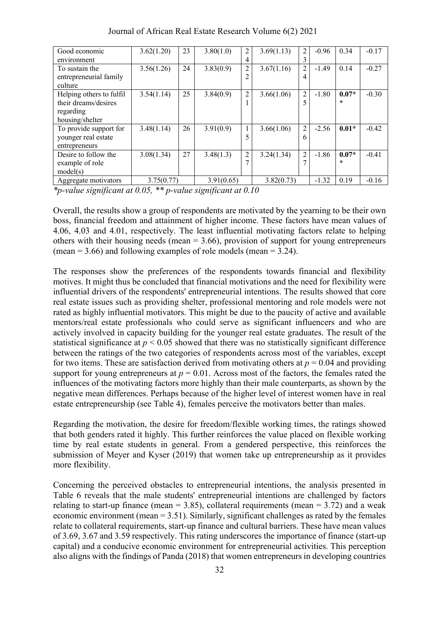| Good economic            | 3.62(1.20) | 23 | 3.80(1.0)  | 2              | 3.69(1.13) | 2              | $-0.96$ | 0.34    | $-0.17$ |
|--------------------------|------------|----|------------|----------------|------------|----------------|---------|---------|---------|
| environment              |            |    |            | 4              |            | 3              |         |         |         |
| To sustain the           | 3.56(1.26) | 24 | 3.83(0.9)  | $\overline{2}$ | 3.67(1.16) | 2              | $-1.49$ | 0.14    | $-0.27$ |
| entrepreneurial family   |            |    |            | 2              |            | 4              |         |         |         |
| culture                  |            |    |            |                |            |                |         |         |         |
| Helping others to fulfil | 3.54(1.14) | 25 | 3.84(0.9)  | $\overline{c}$ | 3.66(1.06) | $\overline{2}$ | $-1.80$ | $0.07*$ | $-0.30$ |
| their dreams/desires     |            |    |            |                |            | 5              |         | $\star$ |         |
| regarding                |            |    |            |                |            |                |         |         |         |
| housing/shelter          |            |    |            |                |            |                |         |         |         |
| To provide support for   | 3.48(1.14) | 26 | 3.91(0.9)  |                | 3.66(1.06) | $\overline{c}$ | $-2.56$ | $0.01*$ | $-0.42$ |
| younger real estate      |            |    |            |                |            | 6              |         |         |         |
| entrepreneurs            |            |    |            |                |            |                |         |         |         |
| Desire to follow the     | 3.08(1.34) | 27 | 3.48(1.3)  | $\overline{2}$ | 3.24(1.34) | $\overline{c}$ | $-1.86$ | $0.07*$ | $-0.41$ |
| example of role          |            |    |            |                |            | 7              |         | $\star$ |         |
| model(s)                 |            |    |            |                |            |                |         |         |         |
| Aggregate motivators     | 3.75(0.77) |    | 3.91(0.65) |                | 3.82(0.73) |                | $-1.32$ | 0.19    | $-0.16$ |

Journal of African Real Estate Research Volume 6(2) 2021

*\*p-value significant at 0.05, \*\* p-value significant at 0.10*

Overall, the results show a group of respondents are motivated by the yearning to be their own boss, financial freedom and attainment of higher income. These factors have mean values of 4.06, 4.03 and 4.01, respectively. The least influential motivating factors relate to helping others with their housing needs (mean  $= 3.66$ ), provision of support for young entrepreneurs (mean  $= 3.66$ ) and following examples of role models (mean  $= 3.24$ ).

The responses show the preferences of the respondents towards financial and flexibility motives. It might thus be concluded that financial motivations and the need for flexibility were influential drivers of the respondents' entrepreneurial intentions. The results showed that core real estate issues such as providing shelter, professional mentoring and role models were not rated as highly influential motivators. This might be due to the paucity of active and available mentors/real estate professionals who could serve as significant influencers and who are actively involved in capacity building for the younger real estate graduates. The result of the statistical significance at  $p < 0.05$  showed that there was no statistically significant difference between the ratings of the two categories of respondents across most of the variables, except for two items. These are satisfaction derived from motivating others at  $p = 0.04$  and providing support for young entrepreneurs at  $p = 0.01$ . Across most of the factors, the females rated the influences of the motivating factors more highly than their male counterparts, as shown by the negative mean differences. Perhaps because of the higher level of interest women have in real estate entrepreneurship (see Table 4), females perceive the motivators better than males.

Regarding the motivation, the desire for freedom/flexible working times, the ratings showed that both genders rated it highly. This further reinforces the value placed on flexible working time by real estate students in general. From a gendered perspective, this reinforces the submission of Meyer and Kyser (2019) that women take up entrepreneurship as it provides more flexibility.

Concerning the perceived obstacles to entrepreneurial intentions, the analysis presented in Table 6 reveals that the male students' entrepreneurial intentions are challenged by factors relating to start-up finance (mean = 3.85), collateral requirements (mean = 3.72) and a weak economic environment (mean = 3.51). Similarly, significant challenges as rated by the females relate to collateral requirements, start-up finance and cultural barriers. These have mean values of 3.69, 3.67 and 3.59 respectively. This rating underscores the importance of finance (start-up capital) and a conducive economic environment for entrepreneurial activities. This perception also aligns with the findings of Panda (2018) that women entrepreneurs in developing countries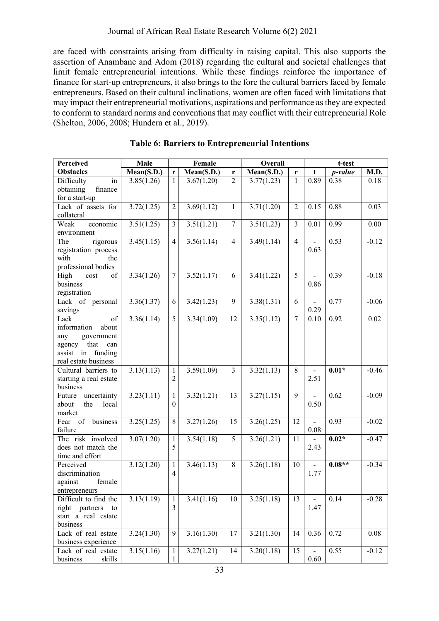are faced with constraints arising from difficulty in raising capital. This also supports the assertion of Anambane and Adom (2018) regarding the cultural and societal challenges that limit female entrepreneurial intentions. While these findings reinforce the importance of finance for start-up entrepreneurs, it also brings to the fore the cultural barriers faced by female entrepreneurs. Based on their cultural inclinations, women are often faced with limitations that may impact their entrepreneurial motivations, aspirations and performance as they are expected to conform to standard norms and conventions that may conflict with their entrepreneurial Role (Shelton, 2006, 2008; Hundera et al., 2019).

| Perceived                     | Male                    |                | Female     |                  | Overall    |                |                          | t-test   |          |
|-------------------------------|-------------------------|----------------|------------|------------------|------------|----------------|--------------------------|----------|----------|
| <b>Obstacles</b>              | Mean(S.D.)              | $\mathbf r$    | Mean(S.D.) | r                | Mean(S.D.) | r              | t                        | p-value  | M.D.     |
| Difficulty<br>in              | 3.85(1.26)              | $\mathbf{1}$   | 3.67(1.20) | $\overline{2}$   | 3.77(1.23) | $\mathbf{1}$   | 0.89                     | 0.38     | 0.18     |
| finance<br>obtaining          |                         |                |            |                  |            |                |                          |          |          |
| for a start-up                |                         |                |            |                  |            |                |                          |          |          |
| Lack of assets for            | 3.72(1.25)              | $\overline{2}$ | 3.69(1.12) | $\mathbf{1}$     | 3.71(1.20) | $\overline{2}$ | 0.15                     | 0.88     | 0.03     |
| collateral                    |                         |                |            |                  |            |                |                          |          |          |
| Weak<br>economic              | 3.51(1.25)              | 3              | 3.51(1.21) | $\boldsymbol{7}$ | 3.51(1.23) | $\overline{3}$ | 0.01                     | 0.99     | $0.00\,$ |
| environment                   |                         |                |            |                  |            |                |                          |          |          |
| rigorous<br>The               | 3.45(1.15)              | $\overline{4}$ | 3.56(1.14) | $\overline{4}$   | 3.49(1.14) | $\overline{4}$ |                          | 0.53     | $-0.12$  |
| registration process          |                         |                |            |                  |            |                | 0.63                     |          |          |
| with<br>the                   |                         |                |            |                  |            |                |                          |          |          |
| professional bodies           |                         |                |            |                  |            |                |                          |          |          |
| of<br>High<br>cost            | 3.34(1.26)              | $\overline{7}$ | 3.52(1.17) | 6                | 3.41(1.22) | 5              |                          | 0.39     | $-0.18$  |
| business                      |                         |                |            |                  |            |                | 0.86                     |          |          |
| registration                  |                         |                |            |                  |            |                |                          |          |          |
| Lack of personal              | 3.36(1.37)              | 6              | 3.42(1.23) | 9                | 3.38(1.31) | 6              | $\overline{a}$           | 0.77     | $-0.06$  |
| savings                       |                         |                |            |                  |            |                | 0.29                     |          |          |
| of<br>Lack                    | 3.36(1.14)              | 5              | 3.34(1.09) | 12               | 3.35(1.12) | $\overline{7}$ | 0.10                     | 0.92     | 0.02     |
| information<br>about          |                         |                |            |                  |            |                |                          |          |          |
| any<br>government             |                         |                |            |                  |            |                |                          |          |          |
| that<br>agency<br>can         |                         |                |            |                  |            |                |                          |          |          |
| assist in funding             |                         |                |            |                  |            |                |                          |          |          |
| real estate business          |                         |                |            |                  |            |                |                          |          |          |
| Cultural barriers to          | 3.13(1.13)              | $\mathbf{1}$   | 3.59(1.09) | $\mathfrak{Z}$   | 3.32(1.13) | 8              | $\blacksquare$           | $0.01*$  | $-0.46$  |
| starting a real estate        |                         | $\overline{2}$ |            |                  |            |                | 2.51                     |          |          |
| business                      |                         |                |            |                  |            |                |                          |          |          |
| uncertainty<br>Future         | 3.23(1.11)              | $\mathbf{1}$   | 3.32(1.21) | 13               | 3.27(1.15) | 9              | $\blacksquare$           | 0.62     | $-0.09$  |
| about<br>the<br>local         |                         | $\mathbf{0}$   |            |                  |            |                | 0.50                     |          |          |
| market<br>business<br>Fear of |                         | 8              |            |                  |            | 12             |                          | 0.93     | $-0.02$  |
| failure                       | 3.25(1.25)              |                | 3.27(1.26) | 15               | 3.26(1.25) |                | $\overline{a}$<br>0.08   |          |          |
| The risk involved             | 3.07(1.20)              | $\mathbf{1}$   | 3.54(1.18) | 5                | 3.26(1.21) | 11             |                          | $0.02*$  | $-0.47$  |
| does not match the            |                         | 5              |            |                  |            |                | 2.43                     |          |          |
| time and effort               |                         |                |            |                  |            |                |                          |          |          |
| Perceived                     | 3.12(1.20)              | $\mathbf{1}$   | 3.46(1.13) | $8\,$            | 3.26(1.18) | 10             | $\overline{a}$           | $0.08**$ | $-0.34$  |
| discrimination                |                         | $\overline{4}$ |            |                  |            |                | 1.77                     |          |          |
| against<br>female             |                         |                |            |                  |            |                |                          |          |          |
| entrepreneurs                 |                         |                |            |                  |            |                |                          |          |          |
| Difficult to find the         | $3.\overline{13(1.19)}$ | $\mathbf{1}$   | 3.41(1.16) | $10\,$           | 3.25(1.18) | 13             | $\overline{\phantom{a}}$ | 0.14     | $-0.28$  |
| right partners<br>to          |                         | $\mathfrak{Z}$ |            |                  |            |                | 1.47                     |          |          |
| start a real estate           |                         |                |            |                  |            |                |                          |          |          |
| business                      |                         |                |            |                  |            |                |                          |          |          |
| Lack of real estate           | 3.24(1.30)              | 9              | 3.16(1.30) | 17               | 3.21(1.30) | 14             | 0.36                     | 0.72     | 0.08     |
| business experience           |                         |                |            |                  |            |                |                          |          |          |
| Lack of real estate           | 3.15(1.16)              | $\mathbf{1}$   | 3.27(1.21) | 14               | 3.20(1.18) | 15             |                          | 0.55     | $-0.12$  |
| business<br>skills            |                         | $\mathbf{1}$   |            |                  |            |                | $0.60\,$                 |          |          |

| <b>Table 6: Barriers to Entrepreneurial Intentions</b> |
|--------------------------------------------------------|
|--------------------------------------------------------|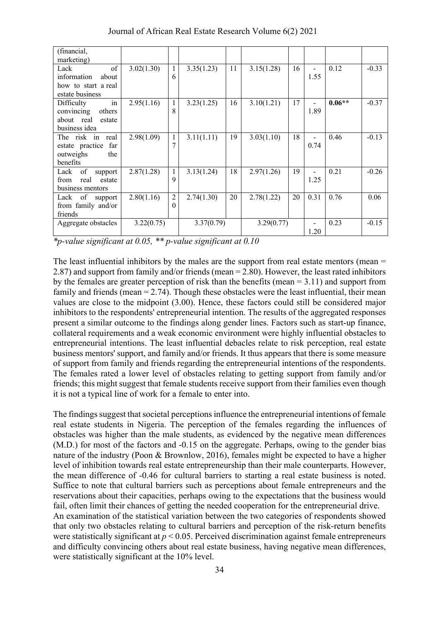| (financial,<br>marketing)                                                         |            |                            |            |    |            |    |                                  |          |         |
|-----------------------------------------------------------------------------------|------------|----------------------------|------------|----|------------|----|----------------------------------|----------|---------|
| of<br>Lack<br>information<br>about                                                | 3.02(1.30) | 1<br>6                     | 3.35(1.23) | 11 | 3.15(1.28) | 16 | -<br>1.55                        | 0.12     | $-0.33$ |
| how to start a real<br>estate business                                            |            |                            |            |    |            |    |                                  |          |         |
| in<br>Difficulty<br>others<br>convincing<br>about real<br>estate<br>business idea | 2.95(1.16) | 1<br>8                     | 3.23(1.25) | 16 | 3.10(1.21) | 17 | 1.89                             | $0.06**$ | $-0.37$ |
| The risk in real<br>estate practice<br>far<br>the<br>outweighs<br>benefits        | 2.98(1.09) | 1                          | 3.11(1.11) | 19 | 3.03(1.10) | 18 | $\overline{\phantom{0}}$<br>0.74 | 0.46     | $-0.13$ |
| of<br>Lack<br>support<br>real<br>estate<br>from<br>business mentors               | 2.87(1.28) | 1<br>9                     | 3.13(1.24) | 18 | 2.97(1.26) | 19 | 1.25                             | 0.21     | $-0.26$ |
| of<br>Lack<br>support<br>from family and/or<br>friends                            | 2.80(1.16) | $\overline{c}$<br>$\Omega$ | 2.74(1.30) | 20 | 2.78(1.22) | 20 | 0.31                             | 0.76     | 0.06    |
| Aggregate obstacles                                                               | 3.22(0.75) |                            | 3.37(0.79) |    | 3.29(0.77) |    | 1.20                             | 0.23     | $-0.15$ |

Journal of African Real Estate Research Volume 6(2) 2021

*\*p-value significant at 0.05, \*\* p-value significant at 0.10*

The least influential inhibitors by the males are the support from real estate mentors (mean = 2.87) and support from family and/or friends (mean = 2.80). However, the least rated inhibitors by the females are greater perception of risk than the benefits (mean = 3.11) and support from family and friends (mean  $= 2.74$ ). Though these obstacles were the least influential, their mean values are close to the midpoint (3.00). Hence, these factors could still be considered major inhibitors to the respondents' entrepreneurial intention. The results of the aggregated responses present a similar outcome to the findings along gender lines. Factors such as start-up finance, collateral requirements and a weak economic environment were highly influential obstacles to entrepreneurial intentions. The least influential debacles relate to risk perception, real estate business mentors' support, and family and/or friends. It thus appears that there is some measure of support from family and friends regarding the entrepreneurial intentions of the respondents. The females rated a lower level of obstacles relating to getting support from family and/or friends; this might suggest that female students receive support from their families even though it is not a typical line of work for a female to enter into.

The findings suggest that societal perceptions influence the entrepreneurial intentions of female real estate students in Nigeria. The perception of the females regarding the influences of obstacles was higher than the male students, as evidenced by the negative mean differences (M.D.) for most of the factors and -0.15 on the aggregate. Perhaps, owing to the gender bias nature of the industry (Poon & Brownlow, 2016), females might be expected to have a higher level of inhibition towards real estate entrepreneurship than their male counterparts. However, the mean difference of -0.46 for cultural barriers to starting a real estate business is noted. Suffice to note that cultural barriers such as perceptions about female entrepreneurs and the reservations about their capacities, perhaps owing to the expectations that the business would fail, often limit their chances of getting the needed cooperation for the entrepreneurial drive. An examination of the statistical variation between the two categories of respondents showed that only two obstacles relating to cultural barriers and perception of the risk-return benefits were statistically significant at *p* < 0.05. Perceived discrimination against female entrepreneurs and difficulty convincing others about real estate business, having negative mean differences, were statistically significant at the 10% level.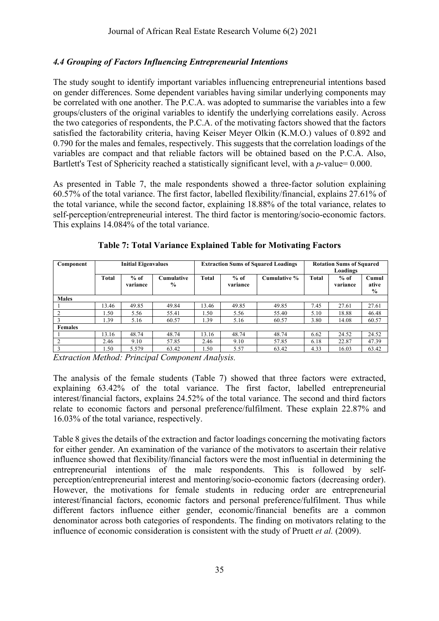## *4.4 Grouping of Factors Influencing Entrepreneurial Intentions*

The study sought to identify important variables influencing entrepreneurial intentions based on gender differences. Some dependent variables having similar underlying components may be correlated with one another. The P.C.A. was adopted to summarise the variables into a few groups/clusters of the original variables to identify the underlying correlations easily. Across the two categories of respondents, the P.C.A. of the motivating factors showed that the factors satisfied the factorability criteria, having Keiser Meyer Olkin (K.M.O.) values of 0.892 and 0.790 for the males and females, respectively. This suggests that the correlation loadings of the variables are compact and that reliable factors will be obtained based on the P.C.A. Also, Bartlett's Test of Sphericity reached a statistically significant level, with a *p-*value= 0.000.

As presented in Table 7, the male respondents showed a three-factor solution explaining 60.57% of the total variance. The first factor, labelled flexibility/financial, explains 27.61% of the total variance, while the second factor, explaining 18.88% of the total variance, relates to self-perception/entrepreneurial interest. The third factor is mentoring/socio-economic factors. This explains 14.084% of the total variance.

| Component      |              | <b>Initial Eigenvalues</b> |                             |              |                    | <b>Extraction Sums of Squared Loadings</b> | <b>Rotation Sums of Squared</b><br>Loadings |                    |                                 |  |
|----------------|--------------|----------------------------|-----------------------------|--------------|--------------------|--------------------------------------------|---------------------------------------------|--------------------|---------------------------------|--|
|                | <b>Total</b> | $%$ of<br>variance         | Cumulative<br>$\frac{6}{9}$ | <b>Total</b> | $%$ of<br>variance | Cumulative %                               | <b>Total</b>                                | $%$ of<br>variance | Cumul<br>ative<br>$\frac{6}{9}$ |  |
| <b>Males</b>   |              |                            |                             |              |                    |                                            |                                             |                    |                                 |  |
|                | 13.46        | 49.85                      | 49.84                       | 13.46        | 49.85              | 49.85                                      | 7.45                                        | 27.61              | 27.61                           |  |
|                | .50          | 5.56                       | 55.41                       | 1.50         | 5.56               | 55.40                                      | 5.10                                        | 18.88              | 46.48                           |  |
|                | .39          | 5.16                       | 60.57                       | 1.39         | 5.16               | 60.57                                      | 3.80                                        | 14.08              | 60.57                           |  |
| <b>Females</b> |              |                            |                             |              |                    |                                            |                                             |                    |                                 |  |
|                | 13.16        | 48.74                      | 48.74                       | 13.16        | 48.74              | 48.74                                      | 6.62                                        | 24.52              | 24.52                           |  |
|                | 2.46         | 9.10                       | 57.85                       | 2.46         | 9.10               | 57.85                                      | 6.18                                        | 22.87              | 47.39                           |  |
| 3              | .50          | 5.579                      | 63.42                       | 1.50         | 5.57               | 63.42                                      | 4.33                                        | 16.03              | 63.42                           |  |

|  |  | <b>Table 7: Total Variance Explained Table for Motivating Factors</b> |  |
|--|--|-----------------------------------------------------------------------|--|
|  |  |                                                                       |  |

*Extraction Method: Principal Component Analysis.*

The analysis of the female students (Table 7) showed that three factors were extracted, explaining 63.42% of the total variance. The first factor, labelled entrepreneurial interest/financial factors, explains 24.52% of the total variance. The second and third factors relate to economic factors and personal preference/fulfilment. These explain 22.87% and 16.03% of the total variance, respectively.

Table 8 gives the details of the extraction and factor loadings concerning the motivating factors for either gender. An examination of the variance of the motivators to ascertain their relative influence showed that flexibility/financial factors were the most influential in determining the entrepreneurial intentions of the male respondents. This is followed by selfperception/entrepreneurial interest and mentoring/socio-economic factors (decreasing order). However, the motivations for female students in reducing order are entrepreneurial interest/financial factors, economic factors and personal preference/fulfilment. Thus while different factors influence either gender, economic/financial benefits are a common denominator across both categories of respondents. The finding on motivators relating to the influence of economic consideration is consistent with the study of Pruett *et al.* (2009).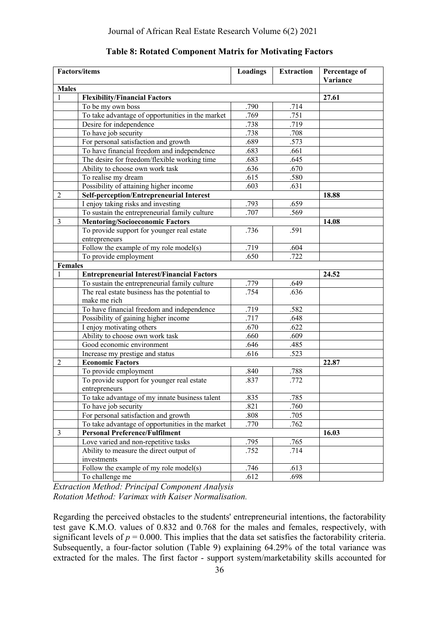|                | <b>Factors/items</b>                              | Loadings | <b>Extraction</b> | Percentage of<br>Variance |
|----------------|---------------------------------------------------|----------|-------------------|---------------------------|
| <b>Males</b>   |                                                   |          |                   |                           |
| 1              | <b>Flexibility/Financial Factors</b>              | 27.61    |                   |                           |
|                | To be my own boss                                 | .790     | .714              |                           |
|                | To take advantage of opportunities in the market  | .769     | .751              |                           |
|                | Desire for independence                           | .738     | .719              |                           |
|                | To have job security                              | .738     | .708              |                           |
|                | For personal satisfaction and growth              | .689     | .573              |                           |
|                | To have financial freedom and independence        | .683     | .661              |                           |
|                | The desire for freedom/flexible working time      | .683     | .645              |                           |
|                | Ability to choose own work task                   | .636     | .670              |                           |
|                | To realise my dream                               | .615     | .580              |                           |
|                | Possibility of attaining higher income            | .603     | .631              |                           |
| $\sqrt{2}$     | <b>Self-perception/Entrepreneurial Interest</b>   |          |                   | 18.88                     |
|                | I enjoy taking risks and investing                | .793     | .659              |                           |
|                | To sustain the entrepreneurial family culture     | .707     | .569              |                           |
| $\mathfrak{Z}$ | <b>Mentoring/Socioeconomic Factors</b>            |          |                   | 14.08                     |
|                | To provide support for younger real estate        | .736     | .591              |                           |
|                | entrepreneurs                                     |          |                   |                           |
|                | Follow the example of my role model(s)            | .719     | .604              |                           |
|                | To provide employment                             | .650     | .722              |                           |
| <b>Females</b> |                                                   |          |                   |                           |
| 1              | <b>Entrepreneurial Interest/Financial Factors</b> |          |                   | 24.52                     |
|                | To sustain the entrepreneurial family culture     | .779     | .649              |                           |
|                | The real estate business has the potential to     | .754     | .636              |                           |
|                | make me rich                                      |          |                   |                           |
|                | To have financial freedom and independence        | .719     | .582              |                           |
|                | Possibility of gaining higher income              | .717     | .648              |                           |
|                | I enjoy motivating others                         | .670     | .622              |                           |
|                | Ability to choose own work task                   | .660     | .609              |                           |
|                | Good economic environment                         | .646     | .485              |                           |
|                | Increase my prestige and status                   | .616     | .523              |                           |
| $\overline{2}$ | <b>Economic Factors</b>                           | 22.87    |                   |                           |
|                | To provide employment                             | .840     | .788              |                           |
|                | To provide support for younger real estate        | .837     | .772              |                           |
|                | entrepreneurs                                     |          |                   |                           |
|                | To take advantage of my innate business talent    | .835     | .785              |                           |
|                | To have job security                              | .821     | .760              |                           |
|                | For personal satisfaction and growth              | .808     | .705              |                           |
|                | To take advantage of opportunities in the market  | .770     | .762              |                           |
| 3              | <b>Personal Preference/Fulfilment</b>             |          |                   | 16.03                     |
|                | Love varied and non-repetitive tasks              | .795     | .765              |                           |
|                | Ability to measure the direct output of           | .752     | .714              |                           |
|                | investments                                       |          |                   |                           |
|                | Follow the example of my role model(s)            | .746     | .613              |                           |
|                | To challenge me                                   | .612     | .698              |                           |

**Table 8: Rotated Component Matrix for Motivating Factors**

*Extraction Method: Principal Component Analysis Rotation Method: Varimax with Kaiser Normalisation.*

Regarding the perceived obstacles to the students' entrepreneurial intentions, the factorability test gave K.M.O. values of 0.832 and 0.768 for the males and females, respectively, with significant levels of  $p = 0.000$ . This implies that the data set satisfies the factorability criteria. Subsequently, a four-factor solution (Table 9) explaining 64.29% of the total variance was extracted for the males. The first factor - support system/marketability skills accounted for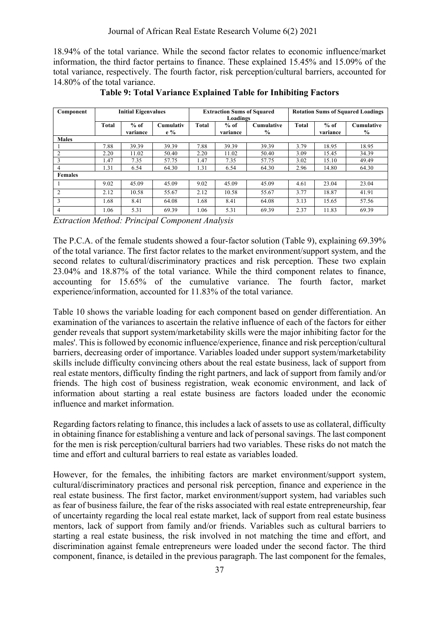18.94% of the total variance. While the second factor relates to economic influence/market information, the third factor pertains to finance. These explained 15.45% and 15.09% of the total variance, respectively. The fourth factor, risk perception/cultural barriers, accounted for 14.80% of the total variance.

| Component      | <b>Initial Eigenvalues</b> |                    |                    | <b>Extraction Sums of Squared</b><br>Loadings |                    |                           | <b>Rotation Sums of Squared Loadings</b> |                    |                                    |
|----------------|----------------------------|--------------------|--------------------|-----------------------------------------------|--------------------|---------------------------|------------------------------------------|--------------------|------------------------------------|
|                | <b>Total</b>               | $%$ of<br>variance | Cumulativ<br>$e\%$ | <b>Total</b>                                  | $%$ of<br>variance | <b>Cumulative</b><br>$\%$ | <b>Total</b>                             | $%$ of<br>variance | <b>Cumulative</b><br>$\frac{6}{9}$ |
| <b>Males</b>   |                            |                    |                    |                                               |                    |                           |                                          |                    |                                    |
|                | 7.88                       | 39.39              | 39.39              | 7.88                                          | 39.39              | 39.39                     | 3.79                                     | 18.95              | 18.95                              |
| 2              | 2.20                       | 11.02              | 50.40              | 2.20                                          | 11.02              | 50.40                     | 3.09                                     | 15.45              | 34.39                              |
| 3              | 1.47                       | 7.35               | 57.75              | 1.47                                          | 7.35               | 57.75                     | 3.02                                     | 15.10              | 49.49                              |
| 4              | 1.31                       | 6.54               | 64.30              | 1.31                                          | 6.54               | 64.30                     | 2.96                                     | 14.80              | 64.30                              |
| <b>Females</b> |                            |                    |                    |                                               |                    |                           |                                          |                    |                                    |
|                | 9.02                       | 45.09              | 45.09              | 9.02                                          | 45.09              | 45.09                     | 4.61                                     | 23.04              | 23.04                              |
| $\overline{2}$ | 2.12                       | 10.58              | 55.67              | 2.12                                          | 10.58              | 55.67                     | 3.77                                     | 18.87              | 41.91                              |
| 3              | 1.68                       | 8.41               | 64.08              | 1.68                                          | 8.41               | 64.08                     | 3.13                                     | 15.65              | 57.56                              |
| 4              | 1.06                       | 5.31               | 69.39              | 1.06                                          | 5.31               | 69.39                     | 2.37                                     | 11.83              | 69.39                              |

**Table 9: Total Variance Explained Table for Inhibiting Factors**

*Extraction Method: Principal Component Analysis*

The P.C.A. of the female students showed a four-factor solution (Table 9), explaining 69.39% of the total variance. The first factor relates to the market environment/support system, and the second relates to cultural/discriminatory practices and risk perception. These two explain 23.04% and 18.87% of the total variance. While the third component relates to finance, accounting for 15.65% of the cumulative variance. The fourth factor, market experience/information, accounted for 11.83% of the total variance.

Table 10 shows the variable loading for each component based on gender differentiation. An examination of the variances to ascertain the relative influence of each of the factors for either gender reveals that support system/marketability skills were the major inhibiting factor for the males'. This is followed by economic influence/experience, finance and risk perception/cultural barriers, decreasing order of importance. Variables loaded under support system/marketability skills include difficulty convincing others about the real estate business, lack of support from real estate mentors, difficulty finding the right partners, and lack of support from family and/or friends. The high cost of business registration, weak economic environment, and lack of information about starting a real estate business are factors loaded under the economic influence and market information.

Regarding factors relating to finance, this includes a lack of assets to use as collateral, difficulty in obtaining finance for establishing a venture and lack of personal savings. The last component for the men is risk perception/cultural barriers had two variables. These risks do not match the time and effort and cultural barriers to real estate as variables loaded.

However, for the females, the inhibiting factors are market environment/support system, cultural/discriminatory practices and personal risk perception, finance and experience in the real estate business. The first factor, market environment/support system, had variables such as fear of business failure, the fear of the risks associated with real estate entrepreneurship, fear of uncertainty regarding the local real estate market, lack of support from real estate business mentors, lack of support from family and/or friends. Variables such as cultural barriers to starting a real estate business, the risk involved in not matching the time and effort, and discrimination against female entrepreneurs were loaded under the second factor. The third component, finance, is detailed in the previous paragraph. The last component for the females,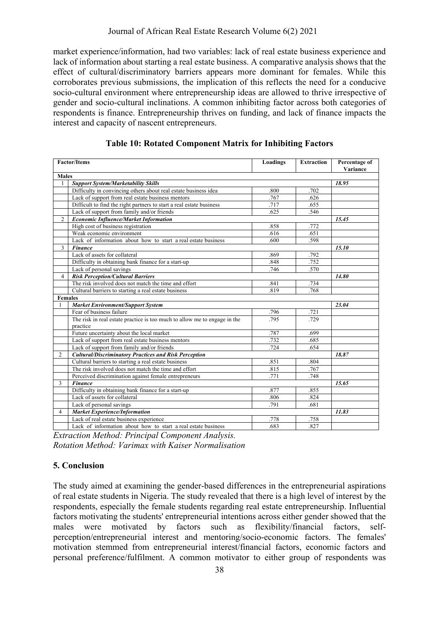market experience/information, had two variables: lack of real estate business experience and lack of information about starting a real estate business. A comparative analysis shows that the effect of cultural/discriminatory barriers appears more dominant for females. While this corroborates previous submissions, the implication of this reflects the need for a conducive socio-cultural environment where entrepreneurship ideas are allowed to thrive irrespective of gender and socio-cultural inclinations. A common inhibiting factor across both categories of respondents is finance. Entrepreneurship thrives on funding, and lack of finance impacts the interest and capacity of nascent entrepreneurs.

|                                                                 | <b>Factor/Items</b>                                                                   | Loadings     | <b>Extraction</b> | Percentage of |  |  |  |
|-----------------------------------------------------------------|---------------------------------------------------------------------------------------|--------------|-------------------|---------------|--|--|--|
|                                                                 |                                                                                       |              |                   | Variance      |  |  |  |
| <b>Males</b><br><b>Support System/Marketability Skills</b><br>1 |                                                                                       |              |                   |               |  |  |  |
|                                                                 | Difficulty in convincing others about real estate business idea                       | 18.95        |                   |               |  |  |  |
|                                                                 | Lack of support from real estate business mentors                                     | .800<br>.767 | .702<br>.626      |               |  |  |  |
|                                                                 | Difficult to find the right partners to start a real estate business                  | .717         | .655              |               |  |  |  |
|                                                                 | Lack of support from family and/or friends                                            | .625         | .546              |               |  |  |  |
| $\overline{2}$                                                  | <b>Economic Influence/Market Information</b>                                          |              |                   | 15.45         |  |  |  |
|                                                                 | High cost of business registration                                                    | .858         | .772              |               |  |  |  |
|                                                                 | Weak economic environment                                                             | .616         | .651              |               |  |  |  |
|                                                                 | Lack of information about how to start a real estate business                         | .600         | .598              |               |  |  |  |
| $\mathbf{3}$                                                    | <b>Finance</b>                                                                        |              |                   | 15.10         |  |  |  |
|                                                                 | Lack of assets for collateral                                                         | .869         | .792              |               |  |  |  |
|                                                                 | Difficulty in obtaining bank finance for a start-up                                   | .848         | .752              |               |  |  |  |
|                                                                 | Lack of personal savings                                                              | .746         | .570              |               |  |  |  |
| 4                                                               | <b>Risk Perception/Cultural Barriers</b>                                              |              |                   | 14.80         |  |  |  |
|                                                                 | The risk involved does not match the time and effort                                  |              |                   |               |  |  |  |
|                                                                 |                                                                                       | .841<br>.819 | .734<br>.768      |               |  |  |  |
|                                                                 | Cultural barriers to starting a real estate business                                  |              |                   |               |  |  |  |
| <b>Females</b>                                                  |                                                                                       |              |                   | 23.04         |  |  |  |
| 1                                                               | <b>Market Environment/Support System</b>                                              |              |                   |               |  |  |  |
|                                                                 | Fear of business failure                                                              | .796<br>.795 | .721<br>.729      |               |  |  |  |
|                                                                 | The risk in real estate practice is too much to allow me to engage in the<br>practice |              |                   |               |  |  |  |
|                                                                 | Future uncertainty about the local market                                             | .787         | .699              |               |  |  |  |
|                                                                 | Lack of support from real estate business mentors                                     | .732         | .685              |               |  |  |  |
|                                                                 | Lack of support from family and/or friends                                            | .724         | .654              |               |  |  |  |
| $\overline{2}$                                                  | <b>Cultural/Discriminatory Practices and Risk Perception</b>                          | 18.87        |                   |               |  |  |  |
|                                                                 | Cultural barriers to starting a real estate business                                  | .851         | .804              |               |  |  |  |
|                                                                 | The risk involved does not match the time and effort                                  | .815         | .767              |               |  |  |  |
|                                                                 | Perceived discrimination against female entrepreneurs                                 | .771         | .748              |               |  |  |  |
| 3                                                               | <b>Finance</b>                                                                        | 15.65        |                   |               |  |  |  |
|                                                                 | Difficulty in obtaining bank finance for a start-up                                   | .877         | .855              |               |  |  |  |
|                                                                 | Lack of assets for collateral                                                         | .806         | .824              |               |  |  |  |
|                                                                 | Lack of personal savings                                                              | .791         | .681              |               |  |  |  |
| 4                                                               | <b>Market Experience/Information</b>                                                  |              |                   | 11.83         |  |  |  |
|                                                                 | Lack of real estate business experience                                               | .778         | .758              |               |  |  |  |
|                                                                 | Lack of information about how to start a real estate business                         | .683         | .827              |               |  |  |  |

**Table 10: Rotated Component Matrix for Inhibiting Factors**

*Extraction Method: Principal Component Analysis. Rotation Method: Varimax with Kaiser Normalisation* 

## **5. Conclusion**

The study aimed at examining the gender-based differences in the entrepreneurial aspirations of real estate students in Nigeria. The study revealed that there is a high level of interest by the respondents, especially the female students regarding real estate entrepreneurship. Influential factors motivating the students' entrepreneurial intentions across either gender showed that the males were motivated by factors such as flexibility/financial factors, selfperception/entrepreneurial interest and mentoring/socio-economic factors. The females' motivation stemmed from entrepreneurial interest/financial factors, economic factors and personal preference/fulfilment. A common motivator to either group of respondents was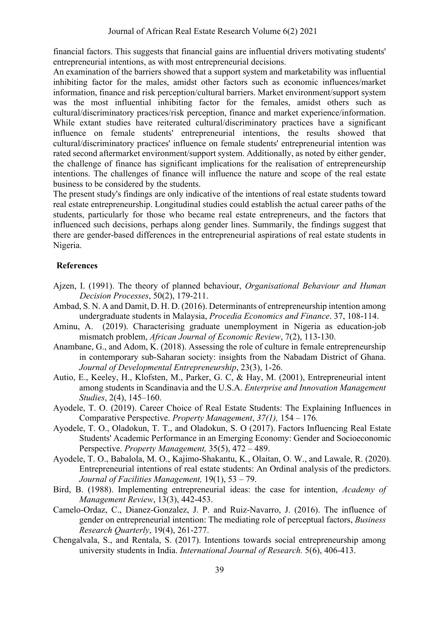financial factors. This suggests that financial gains are influential drivers motivating students' entrepreneurial intentions, as with most entrepreneurial decisions.

An examination of the barriers showed that a support system and marketability was influential inhibiting factor for the males, amidst other factors such as economic influences/market information, finance and risk perception/cultural barriers. Market environment/support system was the most influential inhibiting factor for the females, amidst others such as cultural/discriminatory practices/risk perception, finance and market experience/information. While extant studies have reiterated cultural/discriminatory practices have a significant influence on female students' entrepreneurial intentions, the results showed that cultural/discriminatory practices' influence on female students' entrepreneurial intention was rated second aftermarket environment/support system. Additionally, as noted by either gender, the challenge of finance has significant implications for the realisation of entrepreneurship intentions. The challenges of finance will influence the nature and scope of the real estate business to be considered by the students.

The present study's findings are only indicative of the intentions of real estate students toward real estate entrepreneurship. Longitudinal studies could establish the actual career paths of the students, particularly for those who became real estate entrepreneurs, and the factors that influenced such decisions, perhaps along gender lines. Summarily, the findings suggest that there are gender-based differences in the entrepreneurial aspirations of real estate students in Nigeria.

#### **References**

- Ajzen, I. (1991). The theory of planned behaviour, *Organisational Behaviour and Human Decision Processes*, 50(2), 179-211.
- Ambad, S. N. A and Damit, D. H. D. (2016). Determinants of entrepreneurship intention among undergraduate students in Malaysia, *Procedia Economics and Finance*. 37, 108-114.
- Aminu, A. (2019). Characterising graduate unemployment in Nigeria as education-job mismatch problem, *African Journal of Economic Review*, 7(2), 113-130.
- Anambane, G., and Adom, K. (2018). Assessing the role of culture in female entrepreneurship in contemporary sub-Saharan society: insights from the Nabadam District of Ghana. *Journal of Developmental Entrepreneurship*, 23(3), 1-26.
- Autio, E., Keeley, H., Klofsten, M., Parker, G. C, & Hay, M. (2001), Entrepreneurial intent among students in Scandinavia and the U.S.A. *Enterprise and Innovation Management Studies*, 2(4), 145–160.
- Ayodele, T. O. (2019). Career Choice of Real Estate Students: The Explaining Influences in Comparative Perspective. *Property Management*, *37(1),* 154 – 176*.*
- Ayodele, T. O., Oladokun, T. T., and Oladokun, S. O (2017). Factors Influencing Real Estate Students' Academic Performance in an Emerging Economy: Gender and Socioeconomic Perspective. *Property Management,* 35(5), 472 – 489.
- Ayodele, T. O., Babalola, M. O., Kajimo-Shakantu, K., Olaitan, O. W., and Lawale, R. (2020). Entrepreneurial intentions of real estate students: An Ordinal analysis of the predictors. *Journal of Facilities Management,* 19(1), 53 – 79.
- Bird, B. (1988). Implementing entrepreneurial ideas: the case for intention, *Academy of Management Review*, 13(3), 442-453.
- Camelo-Ordaz, C., Dianez-Gonzalez, J. P. and Ruiz-Navarro, J. (2016). The influence of gender on entrepreneurial intention: The mediating role of perceptual factors, *Business Research Quarterly*, 19(4), 261-277.
- Chengalvala, S., and Rentala, S. (2017). Intentions towards social entrepreneurship among university students in India. *International Journal of Research.* 5(6), 406-413.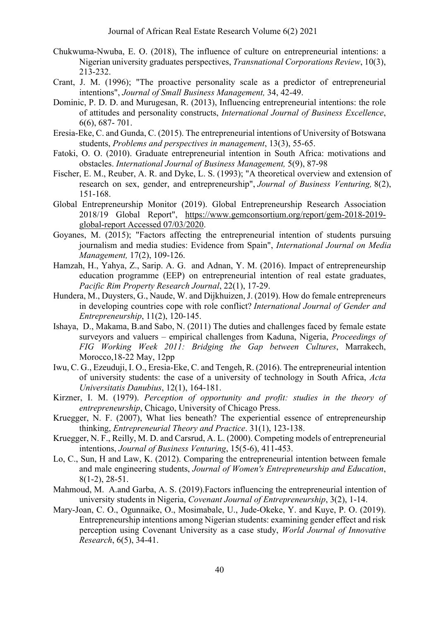- Chukwuma-Nwuba, E. O. (2018), The influence of culture on entrepreneurial intentions: a Nigerian university graduates perspectives, *Transnational Corporations Review*, 10(3), 213-232.
- Crant, J. M. (1996); "The proactive personality scale as a predictor of entrepreneurial intentions", *Journal of Small Business Management,* 34, 42-49.
- Dominic, P. D. D. and Murugesan, R. (2013), Influencing entrepreneurial intentions: the role of attitudes and personality constructs, *International Journal of Business Excellence*, 6(6), 687- 701.
- Eresia-Eke, C. and Gunda, C. (2015). The entrepreneurial intentions of University of Botswana students, *Problems and perspectives in management*, 13(3), 55-65.
- Fatoki, O. O. (2010). Graduate entrepreneurial intention in South Africa: motivations and obstacles. *International Journal of Business Management,* 5(9), 87-98
- Fischer, E. M., Reuber, A. R. and Dyke, L. S. (1993); "A theoretical overview and extension of research on sex, gender, and entrepreneurship", *Journal of Business Venturing,* 8(2), 151-168.
- Global Entrepreneurship Monitor (2019). Global Entrepreneurship Research Association 2018/19 Global Report", https://www.gemconsortium.org/report/gem-2018-2019 global-report Accessed 07/03/2020.
- Goyanes, M. (2015); "Factors affecting the entrepreneurial intention of students pursuing journalism and media studies: Evidence from Spain", *International Journal on Media Management,* 17(2), 109-126.
- Hamzah, H., Yahya, Z., Sarip. A. G. and Adnan, Y. M. (2016). Impact of entrepreneurship education programme (EEP) on entrepreneurial intention of real estate graduates, *Pacific Rim Property Research Journal*, 22(1), 17-29.
- Hundera, M., Duysters, G., Naude, W. and Dijkhuizen, J. (2019). How do female entrepreneurs in developing countries cope with role conflict? *International Journal of Gender and Entrepreneurship*, 11(2), 120-145.
- Ishaya, D., Makama, B.and Sabo, N. (2011) The duties and challenges faced by female estate surveyors and valuers – empirical challenges from Kaduna, Nigeria, *Proceedings of FIG Working Week 2011: Bridging the Gap between Cultures*, Marrakech, Morocco,18-22 May, 12pp
- Iwu, C. G., Ezeuduji, I. O., Eresia-Eke, C. and Tengeh, R. (2016). The entrepreneurial intention of university students: the case of a university of technology in South Africa, *Acta Universitatis Danubius*, 12(1), 164-181.
- Kirzner, I. M. (1979). *Perception of opportunity and profit: studies in the theory of entrepreneurship*, Chicago, University of Chicago Press.
- Kruegger, N. F. (2007), What lies beneath? The experiential essence of entrepreneurship thinking, *Entrepreneurial Theory and Practice*. 31(1), 123-138.
- Kruegger, N. F., Reilly, M. D. and Carsrud, A. L. (2000). Competing models of entrepreneurial intentions, *Journal of Business Venturing*, 15(5-6), 411-453.
- Lo, C., Sun, H and Law, K. (2012). Comparing the entrepreneurial intention between female and male engineering students, *Journal of Women's Entrepreneurship and Education*, 8(1-2), 28-51.
- Mahmoud, M. A.and Garba, A. S. (2019).Factors influencing the entrepreneurial intention of university students in Nigeria, *Covenant Journal of Entrepreneurship*, 3(2), 1-14.
- Mary-Joan, C. O., Ogunnaike, O., Mosimabale, U., Jude-Okeke, Y. and Kuye, P. O. (2019). Entrepreneurship intentions among Nigerian students: examining gender effect and risk perception using Covenant University as a case study, *World Journal of Innovative Research*, 6(5), 34-41.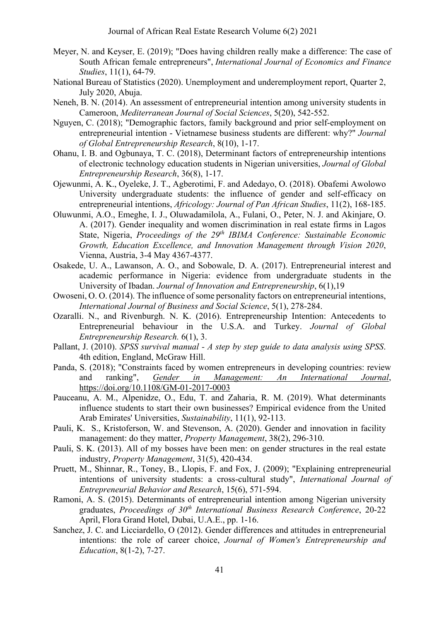- Meyer, N. and Keyser, E. (2019); "Does having children really make a difference: The case of South African female entrepreneurs", *International Journal of Economics and Finance Studies*, 11(1), 64-79.
- National Bureau of Statistics (2020). Unemployment and underemployment report, Quarter 2, July 2020, Abuja.
- Neneh, B. N. (2014). An assessment of entrepreneurial intention among university students in Cameroon, *Mediterranean Journal of Social Sciences*, 5(20), 542-552.
- Nguyen, C. (2018); "Demographic factors, family background and prior self-employment on entrepreneurial intention - Vietnamese business students are different: why?" *Journal of Global Entrepreneurship Research*, 8(10), 1-17.
- Ohanu, I. B. and Ogbunaya, T. C. (2018), Determinant factors of entrepreneurship intentions of electronic technology education students in Nigerian universities, *Journal of Global Entrepreneurship Research*, 36(8), 1-17.
- Ojewunmi, A. K., Oyeleke, J. T., Agberotimi, F. and Adedayo, O. (2018). Obafemi Awolowo University undergraduate students: the influence of gender and self-efficacy on entrepreneurial intentions, *Africology: Journal of Pan African Studies*, 11(2), 168-185.
- Oluwunmi, A.O., Emeghe, I. J., Oluwadamilola, A., Fulani, O., Peter, N. J. and Akinjare, O. A. (2017). Gender inequality and women discrimination in real estate firms in Lagos State, Nigeria, *Proceedings of the 29th IBIMA Conference: Sustainable Economic Growth, Education Excellence, and Innovation Management through Vision 2020*, Vienna, Austria, 3-4 May 4367-4377.
- Osakede, U. A., Lawanson, A. O., and Sobowale, D. A. (2017). Entrepreneurial interest and academic performance in Nigeria: evidence from undergraduate students in the University of Ibadan. *Journal of Innovation and Entrepreneurship*, 6(1),19
- Owoseni, O. O. (2014). The influence of some personality factors on entrepreneurial intentions, *International Journal of Business and Social Science*, 5(1), 278-284.
- Ozaralli. N., and Rivenburgh. N. K. (2016). Entrepreneurship Intention: Antecedents to Entrepreneurial behaviour in the U.S.A. and Turkey. *Journal of Global Entrepreneurship Research.* 6(1), 3.
- Pallant, J. (2010). *SPSS survival manual - A step by step guide to data analysis using SPSS*. 4th edition, England, McGraw Hill.
- Panda, S. (2018); "Constraints faced by women entrepreneurs in developing countries: review and ranking", *Gender in Management: An International Journal*, https://doi.org/10.1108/GM-01-2017-0003
- Pauceanu, A. M., Alpenidze, O., Edu, T. and Zaharia, R. M. (2019). What determinants influence students to start their own businesses? Empirical evidence from the United Arab Emirates' Universities, *Sustainability*, 11(1), 92-113.
- Pauli, K. S., Kristoferson, W. and Stevenson, A. (2020). Gender and innovation in facility management: do they matter, *Property Management*, 38(2), 296-310.
- Pauli, S. K. (2013). All of my bosses have been men: on gender structures in the real estate industry, *Property Management*, 31(5), 420-434.
- Pruett, M., Shinnar, R., Toney, B., Llopis, F. and Fox, J. (2009); "Explaining entrepreneurial intentions of university students: a cross‐cultural study", *International Journal of Entrepreneurial Behavior and Research*, 15(6), 571-594.
- Ramoni, A. S. (2015). Determinants of entrepreneurial intention among Nigerian university graduates, *Proceedings of 30th International Business Research Conference*, 20-22 April, Flora Grand Hotel, Dubai, U.A.E., pp. 1-16.
- Sanchez, J. C. and Licciardello, O (2012). Gender differences and attitudes in entrepreneurial intentions: the role of career choice, *Journal of Women's Entrepreneurship and Education*, 8(1-2), 7-27.